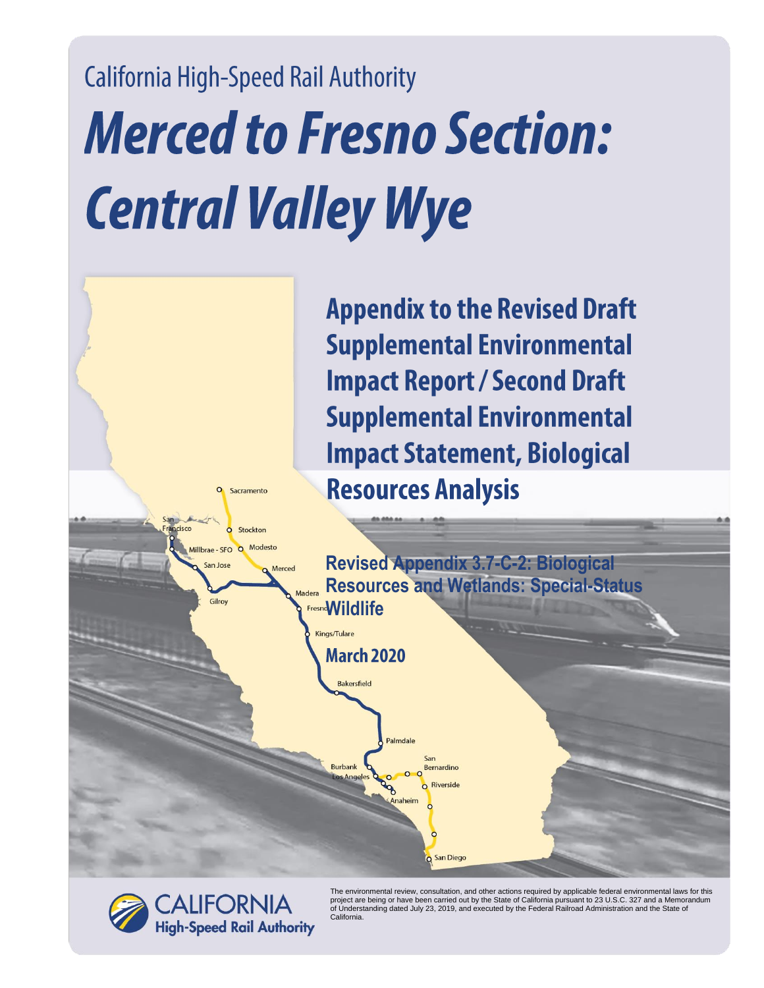## **California High-Speed Rail Authority Merced to Fresno Section: Central Valley Wye**





The environmental review, consultation, and other actions required by applicable federal environmental laws for this<br>project are being or have been carried out by the State of California pursuant to 23 U.S.C. 327 and a Mem California.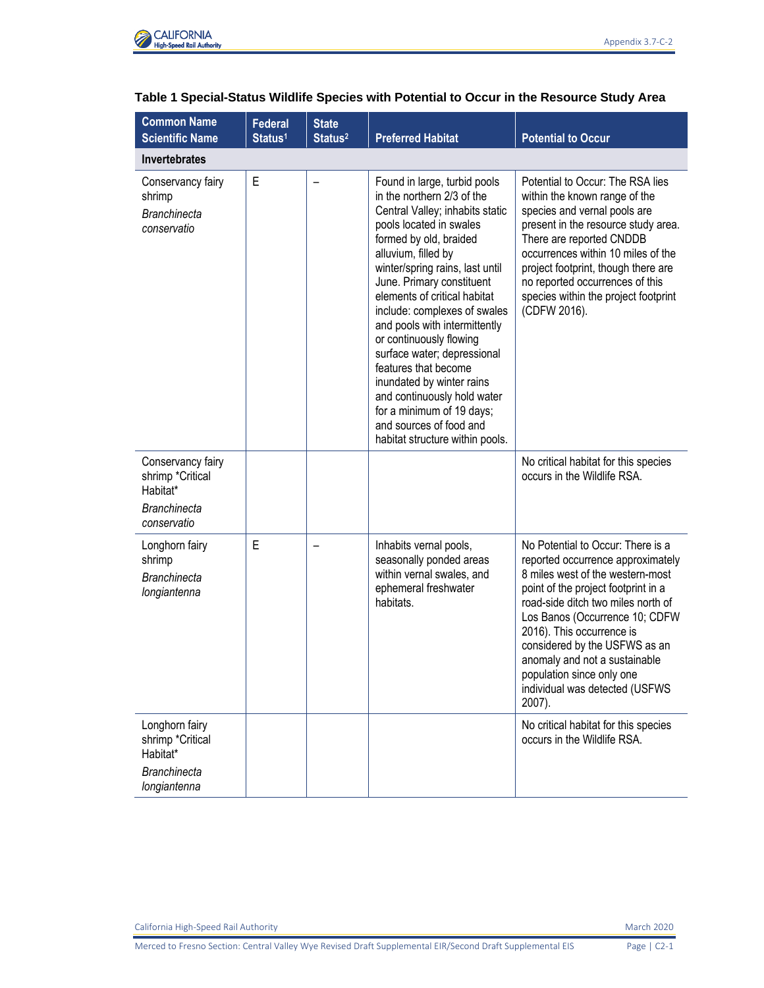

| <b>Common Name</b><br><b>Scientific Name</b>                                            | <b>Federal</b><br>Status <sup>1</sup> | <b>State</b><br>Status <sup>2</sup> | <b>Preferred Habitat</b>                                                                                                                                                                                                                                                                                                                                                                                                                                                                                                                                                            | <b>Potential to Occur</b>                                                                                                                                                                                                                                                                                                                                                                         |
|-----------------------------------------------------------------------------------------|---------------------------------------|-------------------------------------|-------------------------------------------------------------------------------------------------------------------------------------------------------------------------------------------------------------------------------------------------------------------------------------------------------------------------------------------------------------------------------------------------------------------------------------------------------------------------------------------------------------------------------------------------------------------------------------|---------------------------------------------------------------------------------------------------------------------------------------------------------------------------------------------------------------------------------------------------------------------------------------------------------------------------------------------------------------------------------------------------|
| <b>Invertebrates</b>                                                                    |                                       |                                     |                                                                                                                                                                                                                                                                                                                                                                                                                                                                                                                                                                                     |                                                                                                                                                                                                                                                                                                                                                                                                   |
| Conservancy fairy<br>shrimp<br><b>Branchinecta</b><br>conservatio                       | E                                     |                                     | Found in large, turbid pools<br>in the northern 2/3 of the<br>Central Valley; inhabits static<br>pools located in swales<br>formed by old, braided<br>alluvium, filled by<br>winter/spring rains, last until<br>June. Primary constituent<br>elements of critical habitat<br>include: complexes of swales<br>and pools with intermittently<br>or continuously flowing<br>surface water; depressional<br>features that become<br>inundated by winter rains<br>and continuously hold water<br>for a minimum of 19 days;<br>and sources of food and<br>habitat structure within pools. | Potential to Occur: The RSA lies<br>within the known range of the<br>species and vernal pools are<br>present in the resource study area.<br>There are reported CNDDB<br>occurrences within 10 miles of the<br>project footprint, though there are<br>no reported occurrences of this<br>species within the project footprint<br>(CDFW 2016).                                                      |
| Conservancy fairy<br>shrimp *Critical<br>Habitat*<br><b>Branchinecta</b><br>conservatio |                                       |                                     |                                                                                                                                                                                                                                                                                                                                                                                                                                                                                                                                                                                     | No critical habitat for this species<br>occurs in the Wildlife RSA.                                                                                                                                                                                                                                                                                                                               |
| Longhorn fairy<br>shrimp<br><b>Branchinecta</b><br>longiantenna                         | E                                     |                                     | Inhabits vernal pools,<br>seasonally ponded areas<br>within vernal swales, and<br>ephemeral freshwater<br>habitats.                                                                                                                                                                                                                                                                                                                                                                                                                                                                 | No Potential to Occur: There is a<br>reported occurrence approximately<br>8 miles west of the western-most<br>point of the project footprint in a<br>road-side ditch two miles north of<br>Los Banos (Occurrence 10; CDFW<br>2016). This occurrence is<br>considered by the USFWS as an<br>anomaly and not a sustainable<br>population since only one<br>individual was detected (USFWS<br>2007). |
| Longhorn fairy<br>shrimp *Critical<br>Habitat*                                          |                                       |                                     |                                                                                                                                                                                                                                                                                                                                                                                                                                                                                                                                                                                     | No critical habitat for this species<br>occurs in the Wildlife RSA.                                                                                                                                                                                                                                                                                                                               |
| <b>Branchinecta</b><br>longiantenna                                                     |                                       |                                     |                                                                                                                                                                                                                                                                                                                                                                                                                                                                                                                                                                                     |                                                                                                                                                                                                                                                                                                                                                                                                   |

## **Table 1 Special-Status Wildlife Species with Potential to Occur in the Resource Study Area**

California High-Speed Rail Authority **March 2020**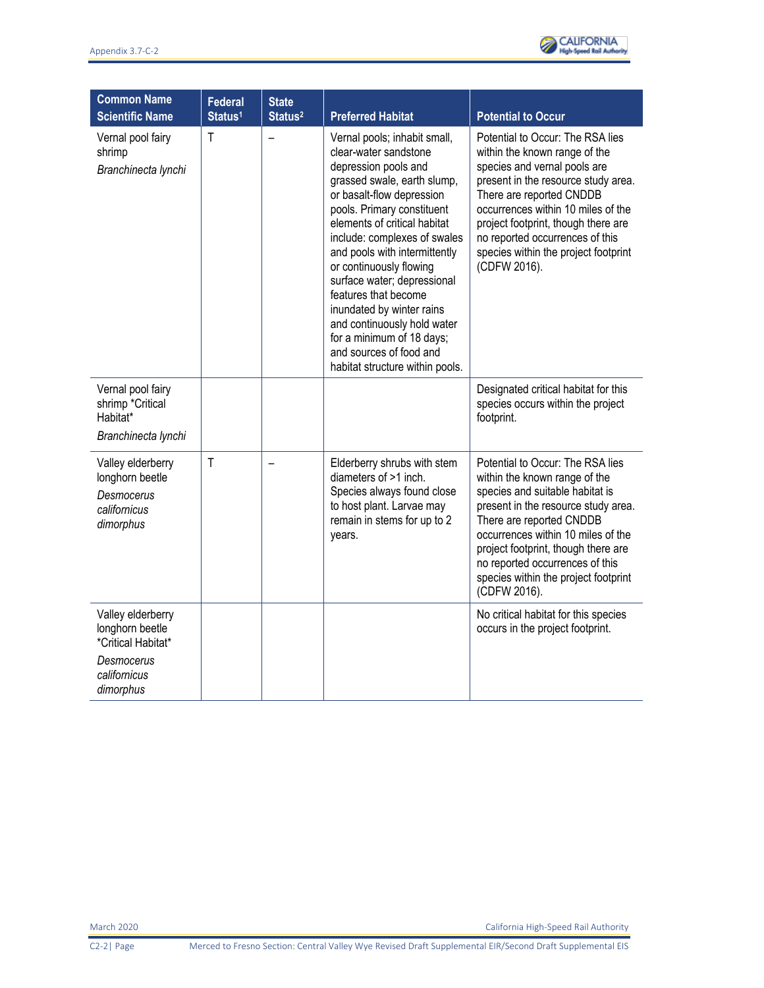| <b>Common Name</b><br><b>Scientific Name</b>                                    | <b>Federal</b><br>Status <sup>1</sup> | <b>State</b><br>Status <sup>2</sup> | <b>Preferred Habitat</b>                                                                                                                                                                                                                                                                                                                                                                                                                                                                                          | <b>Potential to Occur</b>                                                                                                                                                                                                                                                                                                                       |
|---------------------------------------------------------------------------------|---------------------------------------|-------------------------------------|-------------------------------------------------------------------------------------------------------------------------------------------------------------------------------------------------------------------------------------------------------------------------------------------------------------------------------------------------------------------------------------------------------------------------------------------------------------------------------------------------------------------|-------------------------------------------------------------------------------------------------------------------------------------------------------------------------------------------------------------------------------------------------------------------------------------------------------------------------------------------------|
| Vernal pool fairy<br>shrimp<br>Branchinecta lynchi                              | $\mathsf{T}$                          |                                     | Vernal pools; inhabit small,<br>clear-water sandstone<br>depression pools and<br>grassed swale, earth slump,<br>or basalt-flow depression<br>pools. Primary constituent<br>elements of critical habitat<br>include: complexes of swales<br>and pools with intermittently<br>or continuously flowing<br>surface water; depressional<br>features that become<br>inundated by winter rains<br>and continuously hold water<br>for a minimum of 18 days;<br>and sources of food and<br>habitat structure within pools. | Potential to Occur: The RSA lies<br>within the known range of the<br>species and vernal pools are<br>present in the resource study area.<br>There are reported CNDDB<br>occurrences within 10 miles of the<br>project footprint, though there are<br>no reported occurrences of this<br>species within the project footprint<br>(CDFW 2016).    |
| Vernal pool fairy<br>shrimp *Critical<br>Habitat*<br>Branchinecta lynchi        |                                       |                                     |                                                                                                                                                                                                                                                                                                                                                                                                                                                                                                                   | Designated critical habitat for this<br>species occurs within the project<br>footprint.                                                                                                                                                                                                                                                         |
| Valley elderberry<br>longhorn beetle<br>Desmocerus<br>californicus<br>dimorphus | $\mathsf{T}$                          |                                     | Elderberry shrubs with stem<br>diameters of >1 inch.<br>Species always found close<br>to host plant. Larvae may<br>remain in stems for up to 2<br>years.                                                                                                                                                                                                                                                                                                                                                          | Potential to Occur: The RSA lies<br>within the known range of the<br>species and suitable habitat is<br>present in the resource study area.<br>There are reported CNDDB<br>occurrences within 10 miles of the<br>project footprint, though there are<br>no reported occurrences of this<br>species within the project footprint<br>(CDFW 2016). |
| Valley elderberry<br>longhorn beetle<br>*Critical Habitat*                      |                                       |                                     |                                                                                                                                                                                                                                                                                                                                                                                                                                                                                                                   | No critical habitat for this species<br>occurs in the project footprint.                                                                                                                                                                                                                                                                        |
| Desmocerus<br>californicus<br>dimorphus                                         |                                       |                                     |                                                                                                                                                                                                                                                                                                                                                                                                                                                                                                                   |                                                                                                                                                                                                                                                                                                                                                 |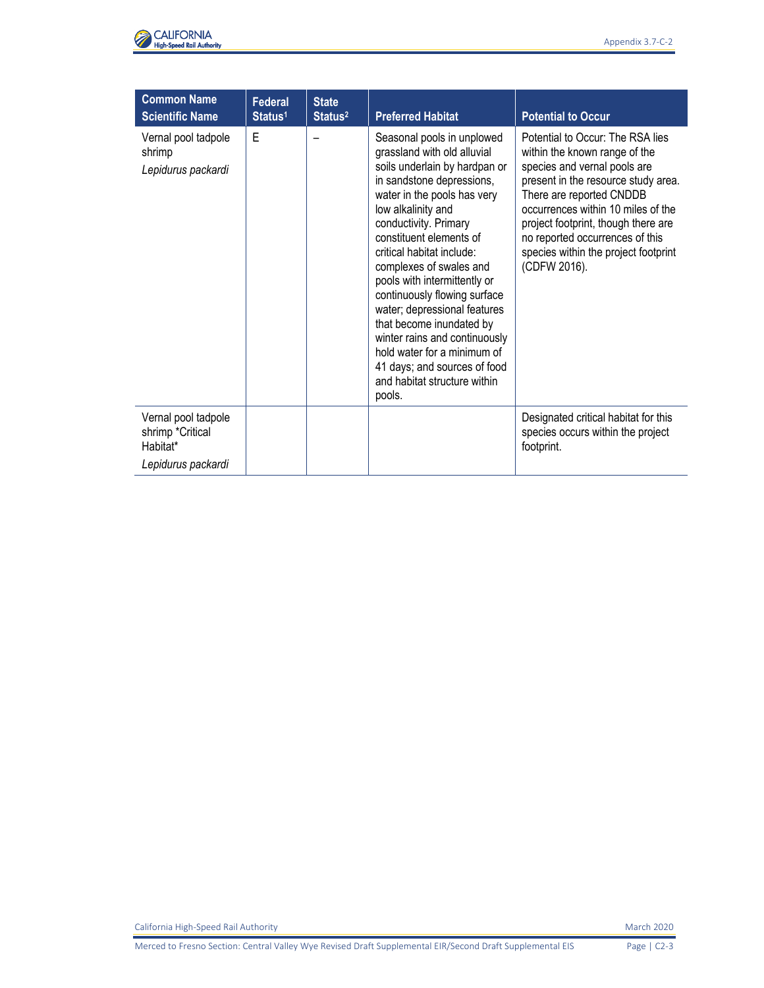

| <b>Common Name</b><br><b>Scientific Name</b>                              | <b>Federal</b><br>Status <sup>1</sup> | <b>State</b><br>Status <sup>2</sup> | <b>Preferred Habitat</b>                                                                                                                                                                                                                                                                                                                                                                                                                                                                                                                                       | <b>Potential to Occur</b>                                                                                                                                                                                                                                                                                                                    |
|---------------------------------------------------------------------------|---------------------------------------|-------------------------------------|----------------------------------------------------------------------------------------------------------------------------------------------------------------------------------------------------------------------------------------------------------------------------------------------------------------------------------------------------------------------------------------------------------------------------------------------------------------------------------------------------------------------------------------------------------------|----------------------------------------------------------------------------------------------------------------------------------------------------------------------------------------------------------------------------------------------------------------------------------------------------------------------------------------------|
| Vernal pool tadpole<br>shrimp<br>Lepidurus packardi                       | E                                     |                                     | Seasonal pools in unplowed<br>grassland with old alluvial<br>soils underlain by hardpan or<br>in sandstone depressions,<br>water in the pools has very<br>low alkalinity and<br>conductivity. Primary<br>constituent elements of<br>critical habitat include:<br>complexes of swales and<br>pools with intermittently or<br>continuously flowing surface<br>water; depressional features<br>that become inundated by<br>winter rains and continuously<br>hold water for a minimum of<br>41 days; and sources of food<br>and habitat structure within<br>pools. | Potential to Occur: The RSA lies<br>within the known range of the<br>species and vernal pools are<br>present in the resource study area.<br>There are reported CNDDB<br>occurrences within 10 miles of the<br>project footprint, though there are<br>no reported occurrences of this<br>species within the project footprint<br>(CDFW 2016). |
| Vernal pool tadpole<br>shrimp *Critical<br>Habitat*<br>Lepidurus packardi |                                       |                                     |                                                                                                                                                                                                                                                                                                                                                                                                                                                                                                                                                                | Designated critical habitat for this<br>species occurs within the project<br>footprint.                                                                                                                                                                                                                                                      |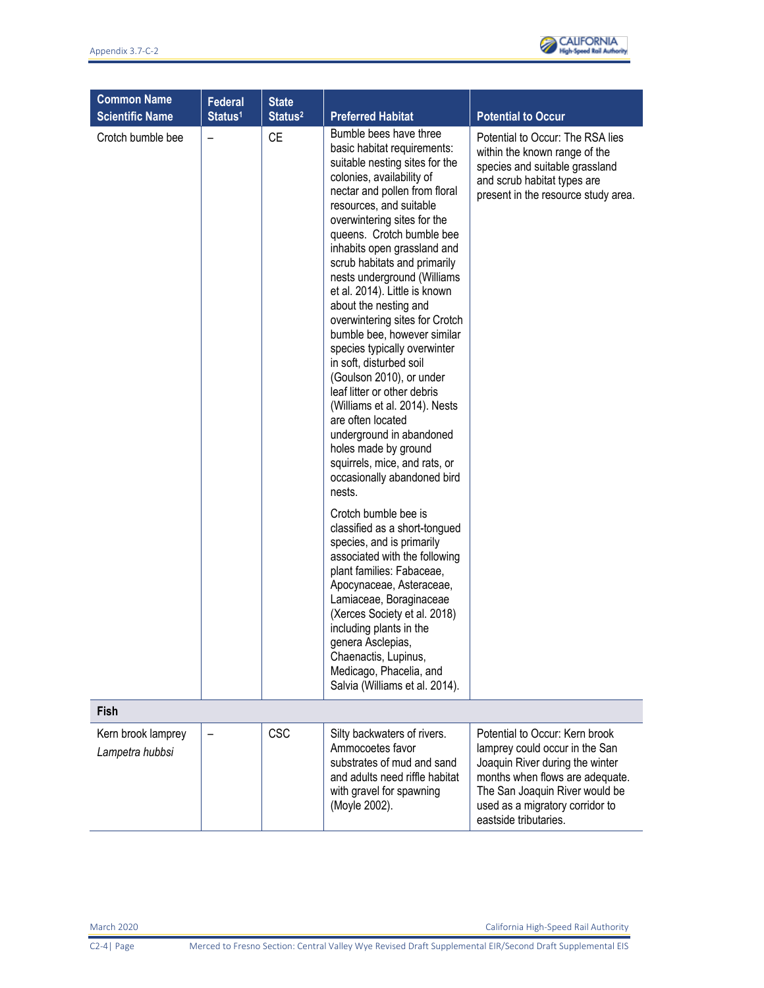

| <b>Common Name</b><br><b>Scientific Name</b> | Federal<br>Status <sup>1</sup> | <b>State</b><br>Status <sup>2</sup> | <b>Preferred Habitat</b>                                                                                                                                                                                                                                                                                                                                                                                                                                                                                                                                                                                                                                                                                                                                                                                                                                                                                                                                                                                                                                                                                                                                        | <b>Potential to Occur</b>                                                                                                                                                                                                            |
|----------------------------------------------|--------------------------------|-------------------------------------|-----------------------------------------------------------------------------------------------------------------------------------------------------------------------------------------------------------------------------------------------------------------------------------------------------------------------------------------------------------------------------------------------------------------------------------------------------------------------------------------------------------------------------------------------------------------------------------------------------------------------------------------------------------------------------------------------------------------------------------------------------------------------------------------------------------------------------------------------------------------------------------------------------------------------------------------------------------------------------------------------------------------------------------------------------------------------------------------------------------------------------------------------------------------|--------------------------------------------------------------------------------------------------------------------------------------------------------------------------------------------------------------------------------------|
| Crotch bumble bee                            |                                | <b>CE</b>                           | Bumble bees have three<br>basic habitat requirements:<br>suitable nesting sites for the<br>colonies, availability of<br>nectar and pollen from floral<br>resources, and suitable<br>overwintering sites for the<br>queens. Crotch bumble bee<br>inhabits open grassland and<br>scrub habitats and primarily<br>nests underground (Williams<br>et al. 2014). Little is known<br>about the nesting and<br>overwintering sites for Crotch<br>bumble bee, however similar<br>species typically overwinter<br>in soft, disturbed soil<br>(Goulson 2010), or under<br>leaf litter or other debris<br>(Williams et al. 2014). Nests<br>are often located<br>underground in abandoned<br>holes made by ground<br>squirrels, mice, and rats, or<br>occasionally abandoned bird<br>nests.<br>Crotch bumble bee is<br>classified as a short-tongued<br>species, and is primarily<br>associated with the following<br>plant families: Fabaceae,<br>Apocynaceae, Asteraceae,<br>Lamiaceae, Boraginaceae<br>(Xerces Society et al. 2018)<br>including plants in the<br>genera Asclepias,<br>Chaenactis, Lupinus,<br>Medicago, Phacelia, and<br>Salvia (Williams et al. 2014). | Potential to Occur: The RSA lies<br>within the known range of the<br>species and suitable grassland<br>and scrub habitat types are<br>present in the resource study area.                                                            |
| Fish                                         |                                |                                     |                                                                                                                                                                                                                                                                                                                                                                                                                                                                                                                                                                                                                                                                                                                                                                                                                                                                                                                                                                                                                                                                                                                                                                 |                                                                                                                                                                                                                                      |
| Kern brook lamprey<br>Lampetra hubbsi        |                                | <b>CSC</b>                          | Silty backwaters of rivers.<br>Ammocoetes favor<br>substrates of mud and sand<br>and adults need riffle habitat<br>with gravel for spawning<br>(Moyle 2002).                                                                                                                                                                                                                                                                                                                                                                                                                                                                                                                                                                                                                                                                                                                                                                                                                                                                                                                                                                                                    | Potential to Occur: Kern brook<br>lamprey could occur in the San<br>Joaquin River during the winter<br>months when flows are adequate.<br>The San Joaquin River would be<br>used as a migratory corridor to<br>eastside tributaries. |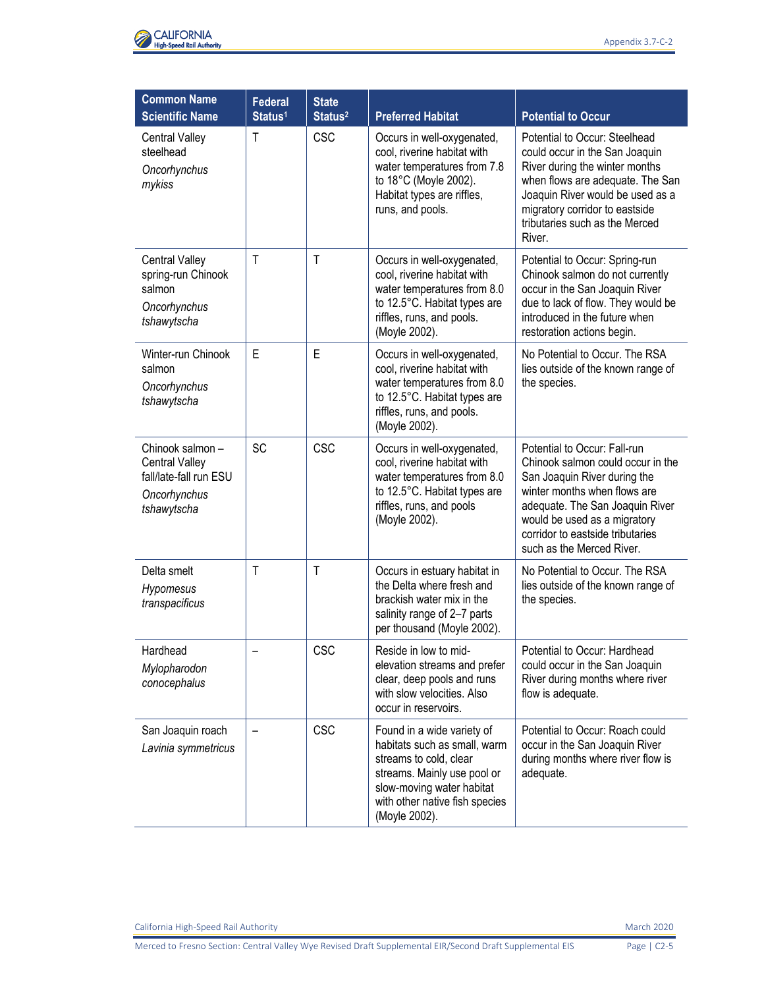

| <b>Common Name</b><br><b>Scientific Name</b>                                                      | <b>Federal</b><br>Status <sup>1</sup> | <b>State</b><br>Status <sup>2</sup> | <b>Preferred Habitat</b>                                                                                                                                                                            | <b>Potential to Occur</b>                                                                                                                                                                                                                                             |
|---------------------------------------------------------------------------------------------------|---------------------------------------|-------------------------------------|-----------------------------------------------------------------------------------------------------------------------------------------------------------------------------------------------------|-----------------------------------------------------------------------------------------------------------------------------------------------------------------------------------------------------------------------------------------------------------------------|
| <b>Central Valley</b><br>steelhead<br>Oncorhynchus<br>mykiss                                      | T                                     | <b>CSC</b>                          | Occurs in well-oxygenated,<br>cool, riverine habitat with<br>water temperatures from 7.8<br>to 18°C (Moyle 2002).<br>Habitat types are riffles,<br>runs, and pools.                                 | Potential to Occur: Steelhead<br>could occur in the San Joaquin<br>River during the winter months<br>when flows are adequate. The San<br>Joaquin River would be used as a<br>migratory corridor to eastside<br>tributaries such as the Merced<br>River.               |
| <b>Central Valley</b><br>spring-run Chinook<br>salmon<br>Oncorhynchus<br>tshawytscha              | $\mathsf{T}$                          | $\mathsf{T}$                        | Occurs in well-oxygenated,<br>cool, riverine habitat with<br>water temperatures from 8.0<br>to 12.5°C. Habitat types are<br>riffles, runs, and pools.<br>(Moyle 2002).                              | Potential to Occur: Spring-run<br>Chinook salmon do not currently<br>occur in the San Joaquin River<br>due to lack of flow. They would be<br>introduced in the future when<br>restoration actions begin.                                                              |
| Winter-run Chinook<br>salmon<br>Oncorhynchus<br>tshawytscha                                       | E                                     | E                                   | Occurs in well-oxygenated,<br>cool, riverine habitat with<br>water temperatures from 8.0<br>to 12.5°C. Habitat types are<br>riffles, runs, and pools.<br>(Moyle 2002).                              | No Potential to Occur. The RSA<br>lies outside of the known range of<br>the species.                                                                                                                                                                                  |
| Chinook salmon-<br><b>Central Valley</b><br>fall/late-fall run ESU<br>Oncorhynchus<br>tshawytscha | <b>SC</b>                             | CSC                                 | Occurs in well-oxygenated,<br>cool, riverine habitat with<br>water temperatures from 8.0<br>to 12.5°C. Habitat types are<br>riffles, runs, and pools<br>(Moyle 2002).                               | Potential to Occur: Fall-run<br>Chinook salmon could occur in the<br>San Joaquin River during the<br>winter months when flows are<br>adequate. The San Joaquin River<br>would be used as a migratory<br>corridor to eastside tributaries<br>such as the Merced River. |
| Delta smelt<br>Hypomesus<br>transpacificus                                                        | $\mathsf{T}$                          | $\mathsf{T}$                        | Occurs in estuary habitat in<br>the Delta where fresh and<br>brackish water mix in the<br>salinity range of 2-7 parts<br>per thousand (Moyle 2002).                                                 | No Potential to Occur. The RSA<br>lies outside of the known range of<br>the species.                                                                                                                                                                                  |
| Hardhead<br>Mylopharodon<br>conocephalus                                                          |                                       | <b>CSC</b>                          | Reside in low to mid-<br>elevation streams and prefer<br>clear, deep pools and runs<br>with slow velocities. Also<br>occur in reservoirs.                                                           | Potential to Occur: Hardhead<br>could occur in the San Joaquin<br>River during months where river<br>flow is adequate.                                                                                                                                                |
| San Joaquin roach<br>Lavinia symmetricus                                                          |                                       | <b>CSC</b>                          | Found in a wide variety of<br>habitats such as small, warm<br>streams to cold, clear<br>streams. Mainly use pool or<br>slow-moving water habitat<br>with other native fish species<br>(Moyle 2002). | Potential to Occur: Roach could<br>occur in the San Joaquin River<br>during months where river flow is<br>adequate.                                                                                                                                                   |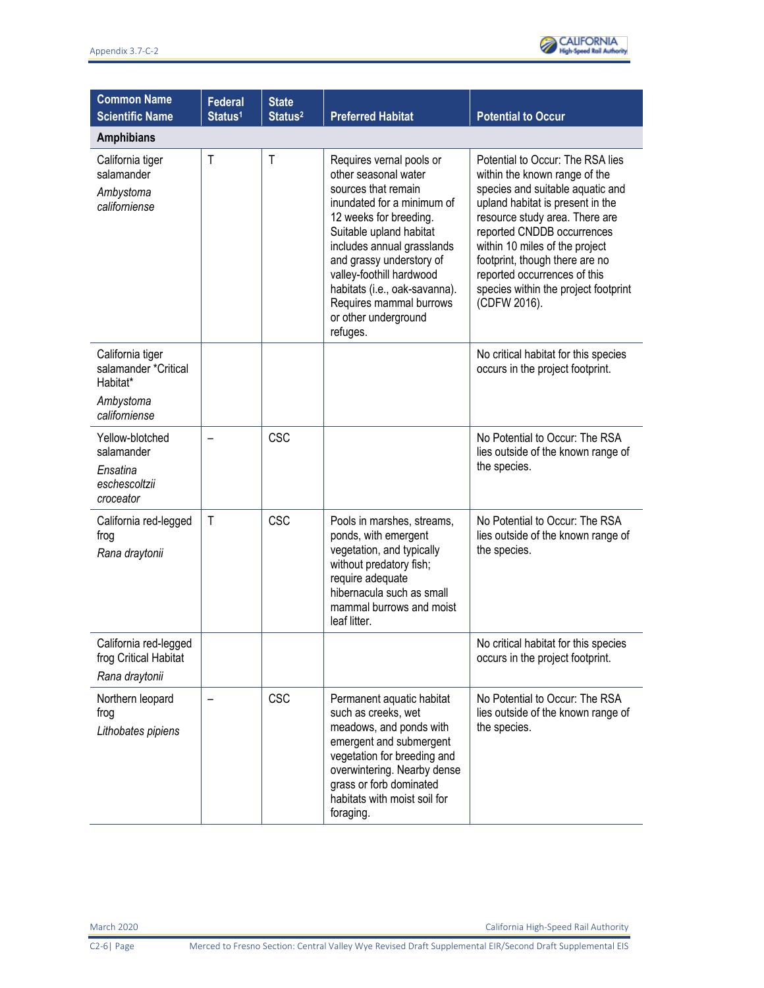

| <b>Common Name</b><br><b>Scientific Name</b>                                       | <b>Federal</b><br>Status <sup>1</sup> | <b>State</b><br>Status <sup>2</sup> | <b>Preferred Habitat</b>                                                                                                                                                                                                                                                                                                                         | <b>Potential to Occur</b>                                                                                                                                                                                                                                                                                                                                             |
|------------------------------------------------------------------------------------|---------------------------------------|-------------------------------------|--------------------------------------------------------------------------------------------------------------------------------------------------------------------------------------------------------------------------------------------------------------------------------------------------------------------------------------------------|-----------------------------------------------------------------------------------------------------------------------------------------------------------------------------------------------------------------------------------------------------------------------------------------------------------------------------------------------------------------------|
| <b>Amphibians</b>                                                                  |                                       |                                     |                                                                                                                                                                                                                                                                                                                                                  |                                                                                                                                                                                                                                                                                                                                                                       |
| California tiger<br>salamander<br>Ambystoma<br>californiense                       | T                                     | T                                   | Requires vernal pools or<br>other seasonal water<br>sources that remain<br>inundated for a minimum of<br>12 weeks for breeding.<br>Suitable upland habitat<br>includes annual grasslands<br>and grassy understory of<br>valley-foothill hardwood<br>habitats (i.e., oak-savanna).<br>Requires mammal burrows<br>or other underground<br>refuges. | Potential to Occur: The RSA lies<br>within the known range of the<br>species and suitable aquatic and<br>upland habitat is present in the<br>resource study area. There are<br>reported CNDDB occurrences<br>within 10 miles of the project<br>footprint, though there are no<br>reported occurrences of this<br>species within the project footprint<br>(CDFW 2016). |
| California tiger<br>salamander *Critical<br>Habitat*<br>Ambystoma<br>californiense |                                       |                                     |                                                                                                                                                                                                                                                                                                                                                  | No critical habitat for this species<br>occurs in the project footprint.                                                                                                                                                                                                                                                                                              |
| Yellow-blotched<br>salamander<br>Ensatina<br>eschescoltzii<br>croceator            |                                       | CSC                                 |                                                                                                                                                                                                                                                                                                                                                  | No Potential to Occur: The RSA<br>lies outside of the known range of<br>the species.                                                                                                                                                                                                                                                                                  |
| California red-legged<br>frog<br>Rana draytonii                                    | T                                     | <b>CSC</b>                          | Pools in marshes, streams,<br>ponds, with emergent<br>vegetation, and typically<br>without predatory fish;<br>require adequate<br>hibernacula such as small<br>mammal burrows and moist<br>leaf litter.                                                                                                                                          | No Potential to Occur: The RSA<br>lies outside of the known range of<br>the species.                                                                                                                                                                                                                                                                                  |
| California red-legged<br>frog Critical Habitat<br>Rana draytonii                   |                                       |                                     |                                                                                                                                                                                                                                                                                                                                                  | No critical habitat for this species<br>occurs in the project footprint.                                                                                                                                                                                                                                                                                              |
| Northern leopard<br>frog<br>Lithobates pipiens                                     |                                       | <b>CSC</b>                          | Permanent aquatic habitat<br>such as creeks, wet<br>meadows, and ponds with<br>emergent and submergent<br>vegetation for breeding and<br>overwintering. Nearby dense<br>grass or forb dominated<br>habitats with moist soil for<br>foraging.                                                                                                     | No Potential to Occur: The RSA<br>lies outside of the known range of<br>the species.                                                                                                                                                                                                                                                                                  |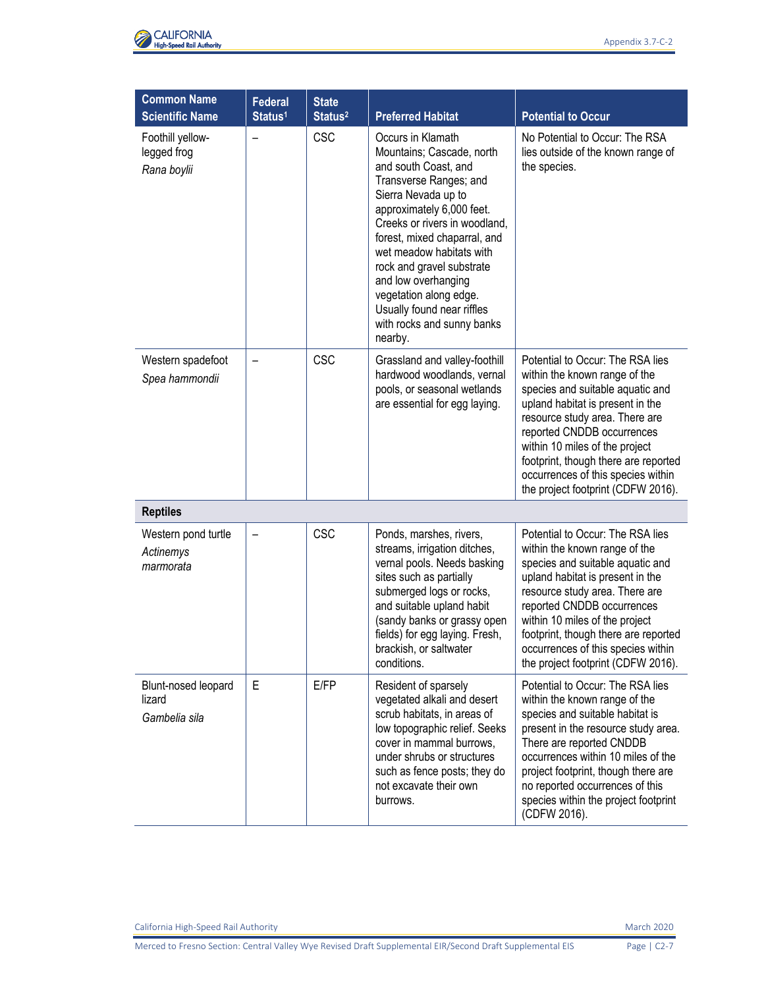

| <b>Common Name</b><br><b>Scientific Name</b>   | <b>Federal</b><br>Status <sup>1</sup> | <b>State</b><br>Status <sup>2</sup> | <b>Preferred Habitat</b>                                                                                                                                                                                                                                                                                                                                                                               | <b>Potential to Occur</b>                                                                                                                                                                                                                                                                                                                                       |
|------------------------------------------------|---------------------------------------|-------------------------------------|--------------------------------------------------------------------------------------------------------------------------------------------------------------------------------------------------------------------------------------------------------------------------------------------------------------------------------------------------------------------------------------------------------|-----------------------------------------------------------------------------------------------------------------------------------------------------------------------------------------------------------------------------------------------------------------------------------------------------------------------------------------------------------------|
| Foothill yellow-<br>legged frog<br>Rana boylii | $\overline{\phantom{0}}$              | <b>CSC</b>                          | Occurs in Klamath<br>Mountains; Cascade, north<br>and south Coast, and<br>Transverse Ranges; and<br>Sierra Nevada up to<br>approximately 6,000 feet.<br>Creeks or rivers in woodland,<br>forest, mixed chaparral, and<br>wet meadow habitats with<br>rock and gravel substrate<br>and low overhanging<br>vegetation along edge.<br>Usually found near riffles<br>with rocks and sunny banks<br>nearby. | No Potential to Occur: The RSA<br>lies outside of the known range of<br>the species.                                                                                                                                                                                                                                                                            |
| Western spadefoot<br>Spea hammondii            |                                       | <b>CSC</b>                          | Grassland and valley-foothill<br>hardwood woodlands, vernal<br>pools, or seasonal wetlands<br>are essential for egg laying.                                                                                                                                                                                                                                                                            | Potential to Occur: The RSA lies<br>within the known range of the<br>species and suitable aquatic and<br>upland habitat is present in the<br>resource study area. There are<br>reported CNDDB occurrences<br>within 10 miles of the project<br>footprint, though there are reported<br>occurrences of this species within<br>the project footprint (CDFW 2016). |
| <b>Reptiles</b>                                |                                       |                                     |                                                                                                                                                                                                                                                                                                                                                                                                        |                                                                                                                                                                                                                                                                                                                                                                 |
| Western pond turtle<br>Actinemys<br>marmorata  |                                       | <b>CSC</b>                          | Ponds, marshes, rivers,<br>streams, irrigation ditches,<br>vernal pools. Needs basking<br>sites such as partially<br>submerged logs or rocks,<br>and suitable upland habit<br>(sandy banks or grassy open<br>fields) for egg laying. Fresh,<br>brackish, or saltwater<br>conditions.                                                                                                                   | Potential to Occur: The RSA lies<br>within the known range of the<br>species and suitable aquatic and<br>upland habitat is present in the<br>resource study area. There are<br>reported CNDDB occurrences<br>within 10 miles of the project<br>footprint, though there are reported<br>occurrences of this species within<br>the project footprint (CDFW 2016). |
| Blunt-nosed leopard<br>lizard<br>Gambelia sila | Е                                     | E/FP                                | Resident of sparsely<br>vegetated alkali and desert<br>scrub habitats, in areas of<br>low topographic relief. Seeks<br>cover in mammal burrows,<br>under shrubs or structures<br>such as fence posts; they do<br>not excavate their own<br>burrows.                                                                                                                                                    | Potential to Occur: The RSA lies<br>within the known range of the<br>species and suitable habitat is<br>present in the resource study area.<br>There are reported CNDDB<br>occurrences within 10 miles of the<br>project footprint, though there are<br>no reported occurrences of this<br>species within the project footprint<br>(CDFW 2016).                 |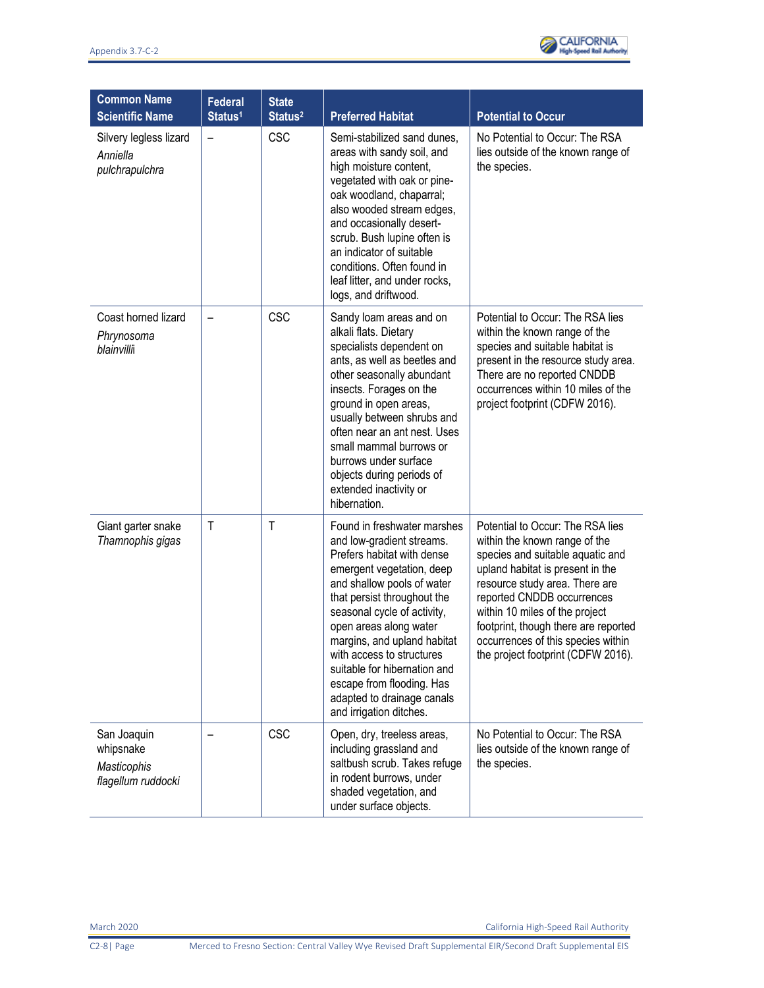

| <b>Common Name</b><br><b>Scientific Name</b>                  | <b>Federal</b><br>Status <sup>1</sup> | <b>State</b><br>Status <sup>2</sup> | <b>Preferred Habitat</b>                                                                                                                                                                                                                                                                                                                                                                                                    | <b>Potential to Occur</b>                                                                                                                                                                                                                                                                                                                                       |
|---------------------------------------------------------------|---------------------------------------|-------------------------------------|-----------------------------------------------------------------------------------------------------------------------------------------------------------------------------------------------------------------------------------------------------------------------------------------------------------------------------------------------------------------------------------------------------------------------------|-----------------------------------------------------------------------------------------------------------------------------------------------------------------------------------------------------------------------------------------------------------------------------------------------------------------------------------------------------------------|
| Silvery legless lizard<br>Anniella<br>pulchrapulchra          | $\overline{\phantom{0}}$              | <b>CSC</b>                          | Semi-stabilized sand dunes,<br>areas with sandy soil, and<br>high moisture content,<br>vegetated with oak or pine-<br>oak woodland, chaparral;<br>also wooded stream edges,<br>and occasionally desert-<br>scrub. Bush lupine often is<br>an indicator of suitable<br>conditions. Often found in<br>leaf litter, and under rocks,<br>logs, and driftwood.                                                                   | No Potential to Occur: The RSA<br>lies outside of the known range of<br>the species.                                                                                                                                                                                                                                                                            |
| Coast horned lizard<br>Phrynosoma<br>blainvilli               |                                       | <b>CSC</b>                          | Sandy loam areas and on<br>alkali flats. Dietary<br>specialists dependent on<br>ants, as well as beetles and<br>other seasonally abundant<br>insects. Forages on the<br>ground in open areas,<br>usually between shrubs and<br>often near an ant nest. Uses<br>small mammal burrows or<br>burrows under surface<br>objects during periods of<br>extended inactivity or<br>hibernation.                                      | Potential to Occur: The RSA lies<br>within the known range of the<br>species and suitable habitat is<br>present in the resource study area.<br>There are no reported CNDDB<br>occurrences within 10 miles of the<br>project footprint (CDFW 2016).                                                                                                              |
| Giant garter snake<br>Thamnophis gigas                        | $\mathsf{T}$                          | $\mathsf{T}$                        | Found in freshwater marshes<br>and low-gradient streams.<br>Prefers habitat with dense<br>emergent vegetation, deep<br>and shallow pools of water<br>that persist throughout the<br>seasonal cycle of activity,<br>open areas along water<br>margins, and upland habitat<br>with access to structures<br>suitable for hibernation and<br>escape from flooding. Has<br>adapted to drainage canals<br>and irrigation ditches. | Potential to Occur: The RSA lies<br>within the known range of the<br>species and suitable aquatic and<br>upland habitat is present in the<br>resource study area. There are<br>reported CNDDB occurrences<br>within 10 miles of the project<br>footprint, though there are reported<br>occurrences of this species within<br>the project footprint (CDFW 2016). |
| San Joaquin<br>whipsnake<br>Masticophis<br>flagellum ruddocki |                                       | <b>CSC</b>                          | Open, dry, treeless areas,<br>including grassland and<br>saltbush scrub. Takes refuge<br>in rodent burrows, under<br>shaded vegetation, and<br>under surface objects.                                                                                                                                                                                                                                                       | No Potential to Occur: The RSA<br>lies outside of the known range of<br>the species.                                                                                                                                                                                                                                                                            |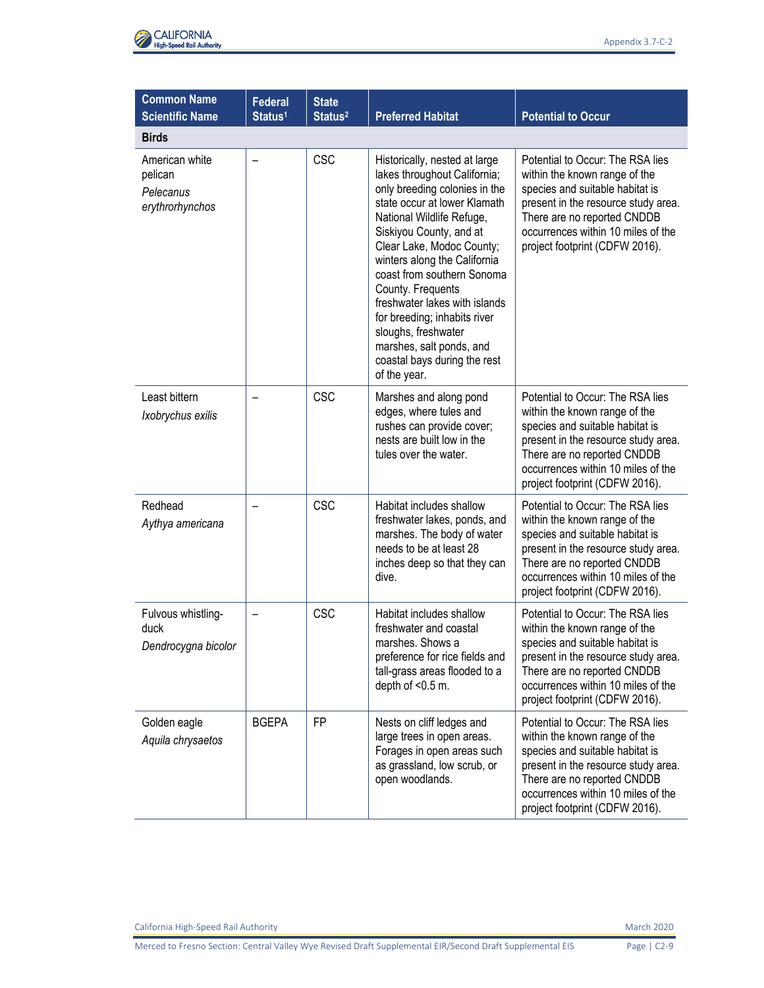

| <b>Common Name</b><br><b>Scientific Name</b>              | <b>Federal</b><br>Status <sup>1</sup> | <b>State</b><br>Status <sup>2</sup> | <b>Preferred Habitat</b>                                                                                                                                                                                                                                                                                                                                                                                                                                                   | <b>Potential to Occur</b>                                                                                                                                                                                                                          |
|-----------------------------------------------------------|---------------------------------------|-------------------------------------|----------------------------------------------------------------------------------------------------------------------------------------------------------------------------------------------------------------------------------------------------------------------------------------------------------------------------------------------------------------------------------------------------------------------------------------------------------------------------|----------------------------------------------------------------------------------------------------------------------------------------------------------------------------------------------------------------------------------------------------|
| <b>Birds</b>                                              |                                       |                                     |                                                                                                                                                                                                                                                                                                                                                                                                                                                                            |                                                                                                                                                                                                                                                    |
| American white<br>pelican<br>Pelecanus<br>erythrorhynchos |                                       | <b>CSC</b>                          | Historically, nested at large<br>lakes throughout California;<br>only breeding colonies in the<br>state occur at lower Klamath<br>National Wildlife Refuge,<br>Siskiyou County, and at<br>Clear Lake, Modoc County;<br>winters along the California<br>coast from southern Sonoma<br>County. Frequents<br>freshwater lakes with islands<br>for breeding; inhabits river<br>sloughs, freshwater<br>marshes, salt ponds, and<br>coastal bays during the rest<br>of the year. | Potential to Occur: The RSA lies<br>within the known range of the<br>species and suitable habitat is<br>present in the resource study area.<br>There are no reported CNDDB<br>occurrences within 10 miles of the<br>project footprint (CDFW 2016). |
| Least bittern<br>Ixobrychus exilis                        |                                       | <b>CSC</b>                          | Marshes and along pond<br>edges, where tules and<br>rushes can provide cover;<br>nests are built low in the<br>tules over the water.                                                                                                                                                                                                                                                                                                                                       | Potential to Occur: The RSA lies<br>within the known range of the<br>species and suitable habitat is<br>present in the resource study area.<br>There are no reported CNDDB<br>occurrences within 10 miles of the<br>project footprint (CDFW 2016). |
| Redhead<br>Aythya americana                               |                                       | <b>CSC</b>                          | Habitat includes shallow<br>freshwater lakes, ponds, and<br>marshes. The body of water<br>needs to be at least 28<br>inches deep so that they can<br>dive.                                                                                                                                                                                                                                                                                                                 | Potential to Occur: The RSA lies<br>within the known range of the<br>species and suitable habitat is<br>present in the resource study area.<br>There are no reported CNDDB<br>occurrences within 10 miles of the<br>project footprint (CDFW 2016). |
| Fulvous whistling-<br>duck<br>Dendrocygna bicolor         |                                       | <b>CSC</b>                          | Habitat includes shallow<br>freshwater and coastal<br>marshes. Shows a<br>preference for rice fields and<br>tall-grass areas flooded to a<br>depth of $< 0.5$ m.                                                                                                                                                                                                                                                                                                           | Potential to Occur: The RSA lies<br>within the known range of the<br>species and suitable habitat is<br>present in the resource study area.<br>There are no reported CNDDB<br>occurrences within 10 miles of the<br>project footprint (CDFW 2016). |
| Golden eagle<br>Aquila chrysaetos                         | <b>BGEPA</b>                          | FP                                  | Nests on cliff ledges and<br>large trees in open areas.<br>Forages in open areas such<br>as grassland, low scrub, or<br>open woodlands.                                                                                                                                                                                                                                                                                                                                    | Potential to Occur: The RSA lies<br>within the known range of the<br>species and suitable habitat is<br>present in the resource study area.<br>There are no reported CNDDB<br>occurrences within 10 miles of the<br>project footprint (CDFW 2016). |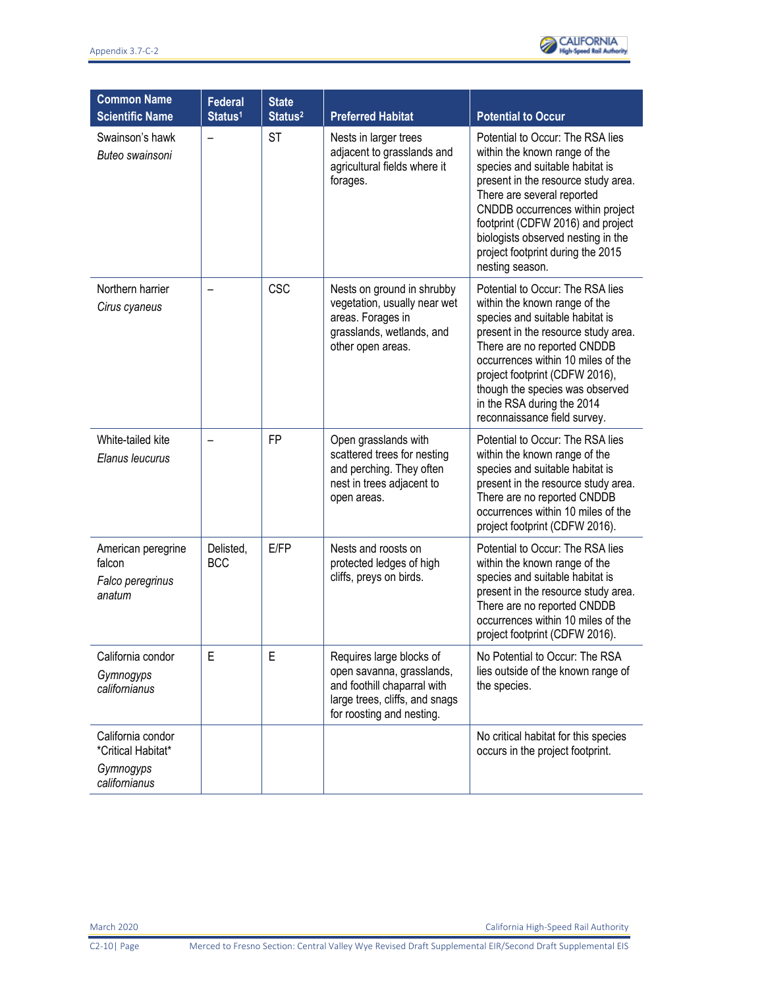

| <b>Common Name</b><br><b>Scientific Name</b>                          | <b>Federal</b><br>Status <sup>1</sup> | <b>State</b><br>Status <sup>2</sup> | <b>Preferred Habitat</b>                                                                                                                            | <b>Potential to Occur</b>                                                                                                                                                                                                                                                                                                                           |
|-----------------------------------------------------------------------|---------------------------------------|-------------------------------------|-----------------------------------------------------------------------------------------------------------------------------------------------------|-----------------------------------------------------------------------------------------------------------------------------------------------------------------------------------------------------------------------------------------------------------------------------------------------------------------------------------------------------|
| Swainson's hawk<br>Buteo swainsoni                                    |                                       | <b>ST</b>                           | Nests in larger trees<br>adjacent to grasslands and<br>agricultural fields where it<br>forages.                                                     | Potential to Occur: The RSA lies<br>within the known range of the<br>species and suitable habitat is<br>present in the resource study area.<br>There are several reported<br>CNDDB occurrences within project<br>footprint (CDFW 2016) and project<br>biologists observed nesting in the<br>project footprint during the 2015<br>nesting season.    |
| Northern harrier<br>Cirus cyaneus                                     |                                       | <b>CSC</b>                          | Nests on ground in shrubby<br>vegetation, usually near wet<br>areas. Forages in<br>grasslands, wetlands, and<br>other open areas.                   | Potential to Occur: The RSA lies<br>within the known range of the<br>species and suitable habitat is<br>present in the resource study area.<br>There are no reported CNDDB<br>occurrences within 10 miles of the<br>project footprint (CDFW 2016),<br>though the species was observed<br>in the RSA during the 2014<br>reconnaissance field survey. |
| White-tailed kite<br>Elanus leucurus                                  |                                       | <b>FP</b>                           | Open grasslands with<br>scattered trees for nesting<br>and perching. They often<br>nest in trees adjacent to<br>open areas.                         | Potential to Occur: The RSA lies<br>within the known range of the<br>species and suitable habitat is<br>present in the resource study area.<br>There are no reported CNDDB<br>occurrences within 10 miles of the<br>project footprint (CDFW 2016).                                                                                                  |
| American peregrine<br>falcon<br>Falco peregrinus<br>anatum            | Delisted,<br><b>BCC</b>               | E/FP                                | Nests and roosts on<br>protected ledges of high<br>cliffs, preys on birds.                                                                          | Potential to Occur: The RSA lies<br>within the known range of the<br>species and suitable habitat is<br>present in the resource study area.<br>There are no reported CNDDB<br>occurrences within 10 miles of the<br>project footprint (CDFW 2016).                                                                                                  |
| California condor<br>Gymnogyps<br>californianus                       | E                                     | E                                   | Requires large blocks of<br>open savanna, grasslands,<br>and foothill chaparral with<br>large trees, cliffs, and snags<br>for roosting and nesting. | No Potential to Occur: The RSA<br>lies outside of the known range of<br>the species.                                                                                                                                                                                                                                                                |
| California condor<br>*Critical Habitat*<br>Gymnogyps<br>californianus |                                       |                                     |                                                                                                                                                     | No critical habitat for this species<br>occurs in the project footprint.                                                                                                                                                                                                                                                                            |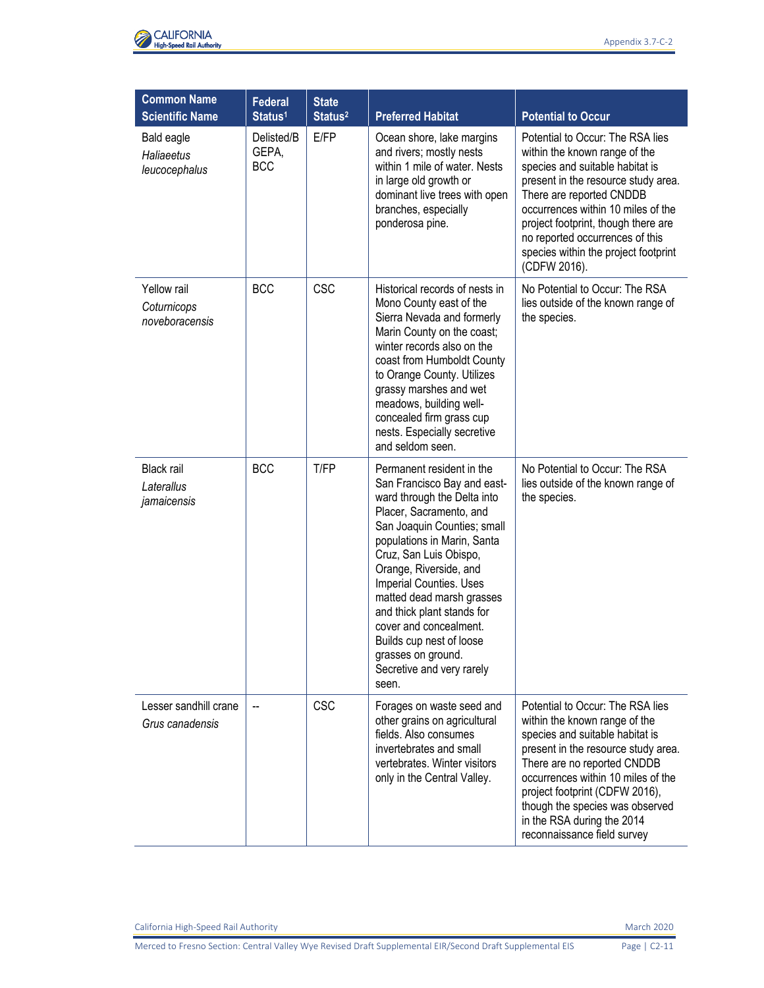

| <b>Common Name</b><br><b>Scientific Name</b>     | <b>Federal</b><br>Status <sup>1</sup> | <b>State</b><br>Status <sup>2</sup> | <b>Preferred Habitat</b>                                                                                                                                                                                                                                                                                                                                                                                                                     | <b>Potential to Occur</b>                                                                                                                                                                                                                                                                                                                          |
|--------------------------------------------------|---------------------------------------|-------------------------------------|----------------------------------------------------------------------------------------------------------------------------------------------------------------------------------------------------------------------------------------------------------------------------------------------------------------------------------------------------------------------------------------------------------------------------------------------|----------------------------------------------------------------------------------------------------------------------------------------------------------------------------------------------------------------------------------------------------------------------------------------------------------------------------------------------------|
| Bald eagle<br><b>Haliaeetus</b><br>leucocephalus | Delisted/B<br>GEPA,<br><b>BCC</b>     | E/FP                                | Ocean shore, lake margins<br>and rivers; mostly nests<br>within 1 mile of water. Nests<br>in large old growth or<br>dominant live trees with open<br>branches, especially<br>ponderosa pine.                                                                                                                                                                                                                                                 | Potential to Occur: The RSA lies<br>within the known range of the<br>species and suitable habitat is<br>present in the resource study area.<br>There are reported CNDDB<br>occurrences within 10 miles of the<br>project footprint, though there are<br>no reported occurrences of this<br>species within the project footprint<br>(CDFW 2016).    |
| Yellow rail<br>Coturnicops<br>noveboracensis     | <b>BCC</b>                            | <b>CSC</b>                          | Historical records of nests in<br>Mono County east of the<br>Sierra Nevada and formerly<br>Marin County on the coast;<br>winter records also on the<br>coast from Humboldt County<br>to Orange County. Utilizes<br>grassy marshes and wet<br>meadows, building well-<br>concealed firm grass cup<br>nests. Especially secretive<br>and seldom seen.                                                                                          | No Potential to Occur: The RSA<br>lies outside of the known range of<br>the species.                                                                                                                                                                                                                                                               |
| <b>Black rail</b><br>Laterallus<br>jamaicensis   | <b>BCC</b>                            | T/FP                                | Permanent resident in the<br>San Francisco Bay and east-<br>ward through the Delta into<br>Placer, Sacramento, and<br>San Joaquin Counties; small<br>populations in Marin, Santa<br>Cruz, San Luis Obispo,<br>Orange, Riverside, and<br>Imperial Counties. Uses<br>matted dead marsh grasses<br>and thick plant stands for<br>cover and concealment.<br>Builds cup nest of loose<br>grasses on ground.<br>Secretive and very rarely<br>seen. | No Potential to Occur: The RSA<br>lies outside of the known range of<br>the species.                                                                                                                                                                                                                                                               |
| Lesser sandhill crane<br>Grus canadensis         | --                                    | <b>CSC</b>                          | Forages on waste seed and<br>other grains on agricultural<br>fields. Also consumes<br>invertebrates and small<br>vertebrates. Winter visitors<br>only in the Central Valley.                                                                                                                                                                                                                                                                 | Potential to Occur: The RSA lies<br>within the known range of the<br>species and suitable habitat is<br>present in the resource study area.<br>There are no reported CNDDB<br>occurrences within 10 miles of the<br>project footprint (CDFW 2016),<br>though the species was observed<br>in the RSA during the 2014<br>reconnaissance field survey |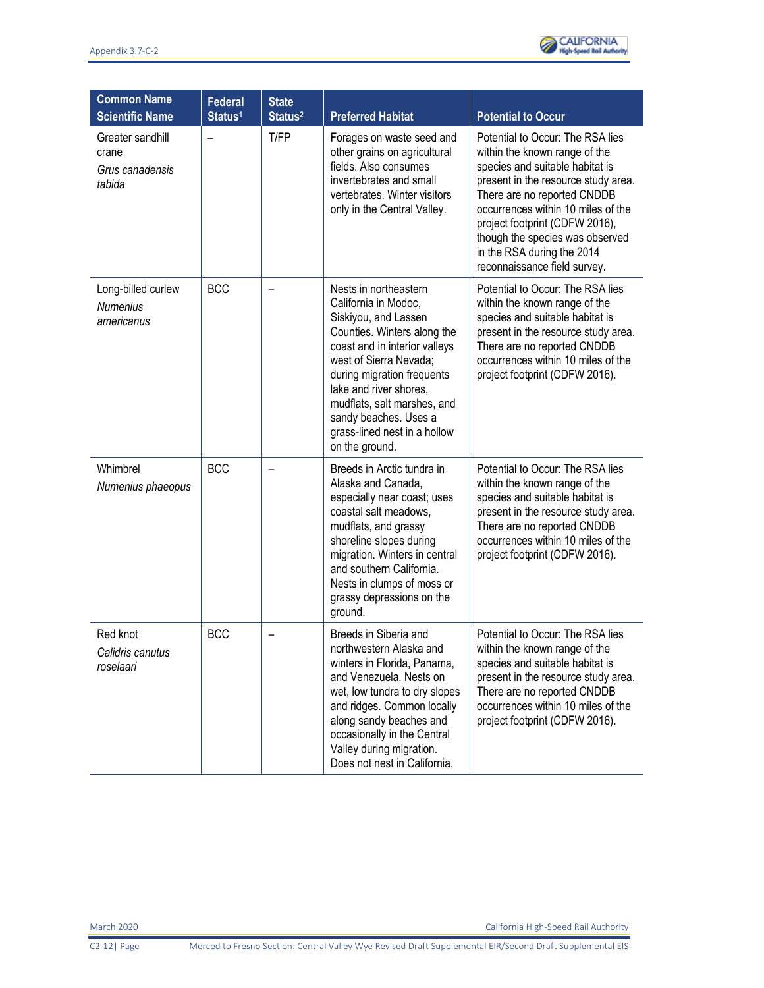

| <b>Common Name</b><br><b>Scientific Name</b>           | <b>Federal</b><br>Status <sup>1</sup> | <b>State</b><br>Status <sup>2</sup> | <b>Preferred Habitat</b>                                                                                                                                                                                                                                                                                                          | <b>Potential to Occur</b>                                                                                                                                                                                                                                                                                                                           |
|--------------------------------------------------------|---------------------------------------|-------------------------------------|-----------------------------------------------------------------------------------------------------------------------------------------------------------------------------------------------------------------------------------------------------------------------------------------------------------------------------------|-----------------------------------------------------------------------------------------------------------------------------------------------------------------------------------------------------------------------------------------------------------------------------------------------------------------------------------------------------|
| Greater sandhill<br>crane<br>Grus canadensis<br>tabida | —                                     | T/FP                                | Forages on waste seed and<br>other grains on agricultural<br>fields. Also consumes<br>invertebrates and small<br>vertebrates. Winter visitors<br>only in the Central Valley.                                                                                                                                                      | Potential to Occur: The RSA lies<br>within the known range of the<br>species and suitable habitat is<br>present in the resource study area.<br>There are no reported CNDDB<br>occurrences within 10 miles of the<br>project footprint (CDFW 2016),<br>though the species was observed<br>in the RSA during the 2014<br>reconnaissance field survey. |
| Long-billed curlew<br><b>Numenius</b><br>americanus    | <b>BCC</b>                            | $\overline{\phantom{0}}$            | Nests in northeastern<br>California in Modoc,<br>Siskiyou, and Lassen<br>Counties. Winters along the<br>coast and in interior valleys<br>west of Sierra Nevada;<br>during migration frequents<br>lake and river shores.<br>mudflats, salt marshes, and<br>sandy beaches. Uses a<br>grass-lined nest in a hollow<br>on the ground. | Potential to Occur: The RSA lies<br>within the known range of the<br>species and suitable habitat is<br>present in the resource study area.<br>There are no reported CNDDB<br>occurrences within 10 miles of the<br>project footprint (CDFW 2016).                                                                                                  |
| Whimbrel<br>Numenius phaeopus                          | <b>BCC</b>                            |                                     | Breeds in Arctic tundra in<br>Alaska and Canada,<br>especially near coast; uses<br>coastal salt meadows,<br>mudflats, and grassy<br>shoreline slopes during<br>migration. Winters in central<br>and southern California.<br>Nests in clumps of moss or<br>grassy depressions on the<br>ground.                                    | Potential to Occur: The RSA lies<br>within the known range of the<br>species and suitable habitat is<br>present in the resource study area.<br>There are no reported CNDDB<br>occurrences within 10 miles of the<br>project footprint (CDFW 2016).                                                                                                  |
| Red knot<br>Calidris canutus<br>roselaari              | <b>BCC</b>                            |                                     | Breeds in Siberia and<br>northwestern Alaska and<br>winters in Florida, Panama,<br>and Venezuela. Nests on<br>wet, low tundra to dry slopes<br>and ridges. Common locally<br>along sandy beaches and<br>occasionally in the Central<br>Valley during migration.<br>Does not nest in California.                                   | Potential to Occur: The RSA lies<br>within the known range of the<br>species and suitable habitat is<br>present in the resource study area.<br>There are no reported CNDDB<br>occurrences within 10 miles of the<br>project footprint (CDFW 2016).                                                                                                  |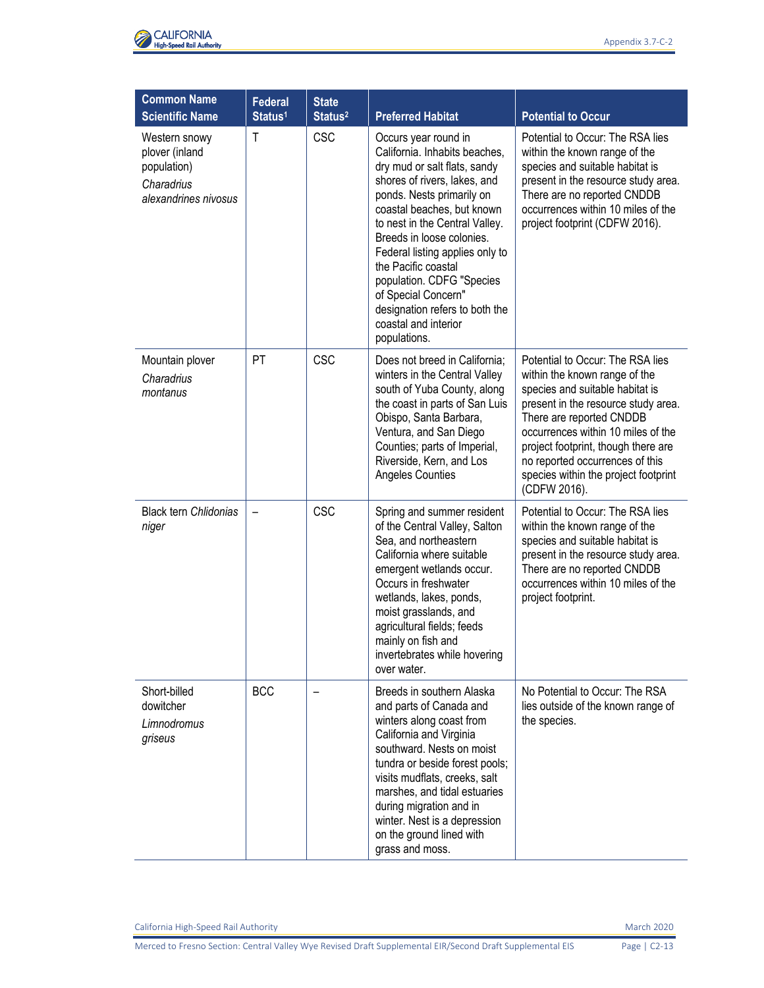

| <b>Common Name</b><br><b>Scientific Name</b>                                         | <b>Federal</b><br>Status <sup>1</sup> | <b>State</b><br>Status <sup>2</sup> | <b>Preferred Habitat</b>                                                                                                                                                                                                                                                                                                                                                                                                                | <b>Potential to Occur</b>                                                                                                                                                                                                                                                                                                                       |
|--------------------------------------------------------------------------------------|---------------------------------------|-------------------------------------|-----------------------------------------------------------------------------------------------------------------------------------------------------------------------------------------------------------------------------------------------------------------------------------------------------------------------------------------------------------------------------------------------------------------------------------------|-------------------------------------------------------------------------------------------------------------------------------------------------------------------------------------------------------------------------------------------------------------------------------------------------------------------------------------------------|
| Western snowy<br>plover (inland<br>population)<br>Charadrius<br>alexandrines nivosus | T                                     | <b>CSC</b>                          | Occurs year round in<br>California. Inhabits beaches,<br>dry mud or salt flats, sandy<br>shores of rivers, lakes, and<br>ponds. Nests primarily on<br>coastal beaches, but known<br>to nest in the Central Valley.<br>Breeds in loose colonies.<br>Federal listing applies only to<br>the Pacific coastal<br>population. CDFG "Species<br>of Special Concern"<br>designation refers to both the<br>coastal and interior<br>populations. | Potential to Occur: The RSA lies<br>within the known range of the<br>species and suitable habitat is<br>present in the resource study area.<br>There are no reported CNDDB<br>occurrences within 10 miles of the<br>project footprint (CDFW 2016).                                                                                              |
| Mountain plover<br>Charadrius<br>montanus                                            | <b>PT</b>                             | <b>CSC</b>                          | Does not breed in California;<br>winters in the Central Valley<br>south of Yuba County, along<br>the coast in parts of San Luis<br>Obispo, Santa Barbara,<br>Ventura, and San Diego<br>Counties; parts of Imperial,<br>Riverside, Kern, and Los<br>Angeles Counties                                                                                                                                                                     | Potential to Occur: The RSA lies<br>within the known range of the<br>species and suitable habitat is<br>present in the resource study area.<br>There are reported CNDDB<br>occurrences within 10 miles of the<br>project footprint, though there are<br>no reported occurrences of this<br>species within the project footprint<br>(CDFW 2016). |
| <b>Black tern Chlidonias</b><br>niger                                                |                                       | CSC                                 | Spring and summer resident<br>of the Central Valley, Salton<br>Sea, and northeastern<br>California where suitable<br>emergent wetlands occur.<br>Occurs in freshwater<br>wetlands, lakes, ponds,<br>moist grasslands, and<br>agricultural fields; feeds<br>mainly on fish and<br>invertebrates while hovering<br>over water.                                                                                                            | Potential to Occur: The RSA lies<br>within the known range of the<br>species and suitable habitat is<br>present in the resource study area.<br>There are no reported CNDDB<br>occurrences within 10 miles of the<br>project footprint.                                                                                                          |
| Short-billed<br>dowitcher<br>Limnodromus<br>griseus                                  | <b>BCC</b>                            |                                     | Breeds in southern Alaska<br>and parts of Canada and<br>winters along coast from<br>California and Virginia<br>southward. Nests on moist<br>tundra or beside forest pools;<br>visits mudflats, creeks, salt<br>marshes, and tidal estuaries<br>during migration and in<br>winter. Nest is a depression<br>on the ground lined with<br>grass and moss.                                                                                   | No Potential to Occur: The RSA<br>lies outside of the known range of<br>the species.                                                                                                                                                                                                                                                            |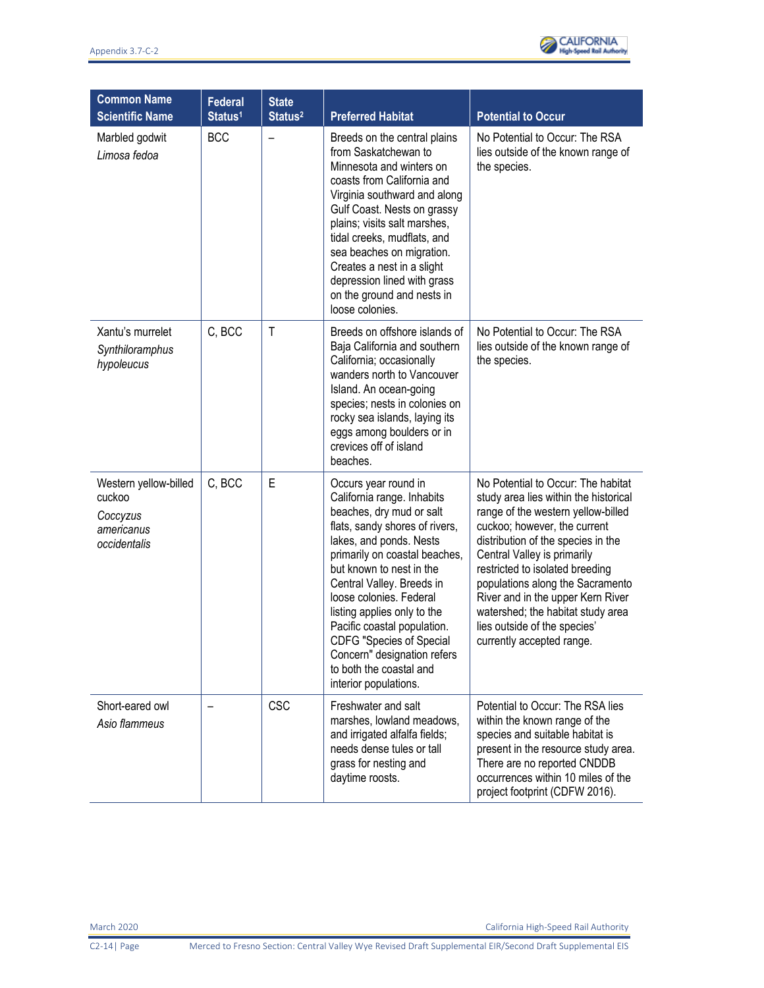

| <b>Common Name</b><br><b>Scientific Name</b>                              | <b>Federal</b><br>Status <sup>1</sup> | <b>State</b><br>Status <sup>2</sup> | <b>Preferred Habitat</b>                                                                                                                                                                                                                                                                                                                                                                                                                             | <b>Potential to Occur</b>                                                                                                                                                                                                                                                                                                                                                                                                            |
|---------------------------------------------------------------------------|---------------------------------------|-------------------------------------|------------------------------------------------------------------------------------------------------------------------------------------------------------------------------------------------------------------------------------------------------------------------------------------------------------------------------------------------------------------------------------------------------------------------------------------------------|--------------------------------------------------------------------------------------------------------------------------------------------------------------------------------------------------------------------------------------------------------------------------------------------------------------------------------------------------------------------------------------------------------------------------------------|
| Marbled godwit<br>Limosa fedoa                                            | <b>BCC</b>                            |                                     | Breeds on the central plains<br>from Saskatchewan to<br>Minnesota and winters on<br>coasts from California and<br>Virginia southward and along<br>Gulf Coast. Nests on grassy<br>plains; visits salt marshes,<br>tidal creeks, mudflats, and<br>sea beaches on migration.<br>Creates a nest in a slight<br>depression lined with grass<br>on the ground and nests in<br>loose colonies.                                                              | No Potential to Occur: The RSA<br>lies outside of the known range of<br>the species.                                                                                                                                                                                                                                                                                                                                                 |
| Xantu's murrelet<br>Synthiloramphus<br>hypoleucus                         | C, BCC                                | $\mathsf{T}$                        | Breeds on offshore islands of<br>Baja California and southern<br>California; occasionally<br>wanders north to Vancouver<br>Island. An ocean-going<br>species; nests in colonies on<br>rocky sea islands, laying its<br>eggs among boulders or in<br>crevices off of island<br>beaches.                                                                                                                                                               | No Potential to Occur: The RSA<br>lies outside of the known range of<br>the species.                                                                                                                                                                                                                                                                                                                                                 |
| Western yellow-billed<br>cuckoo<br>Coccyzus<br>americanus<br>occidentalis | C, BCC                                | E                                   | Occurs year round in<br>California range. Inhabits<br>beaches, dry mud or salt<br>flats, sandy shores of rivers,<br>lakes, and ponds. Nests<br>primarily on coastal beaches,<br>but known to nest in the<br>Central Valley. Breeds in<br>loose colonies. Federal<br>listing applies only to the<br>Pacific coastal population.<br><b>CDFG "Species of Special</b><br>Concern" designation refers<br>to both the coastal and<br>interior populations. | No Potential to Occur: The habitat<br>study area lies within the historical<br>range of the western yellow-billed<br>cuckoo; however, the current<br>distribution of the species in the<br>Central Valley is primarily<br>restricted to isolated breeding<br>populations along the Sacramento<br>River and in the upper Kern River<br>watershed; the habitat study area<br>lies outside of the species'<br>currently accepted range. |
| Short-eared owl<br>Asio flammeus                                          |                                       | <b>CSC</b>                          | Freshwater and salt<br>marshes, lowland meadows,<br>and irrigated alfalfa fields;<br>needs dense tules or tall<br>grass for nesting and<br>daytime roosts.                                                                                                                                                                                                                                                                                           | Potential to Occur: The RSA lies<br>within the known range of the<br>species and suitable habitat is<br>present in the resource study area.<br>There are no reported CNDDB<br>occurrences within 10 miles of the<br>project footprint (CDFW 2016).                                                                                                                                                                                   |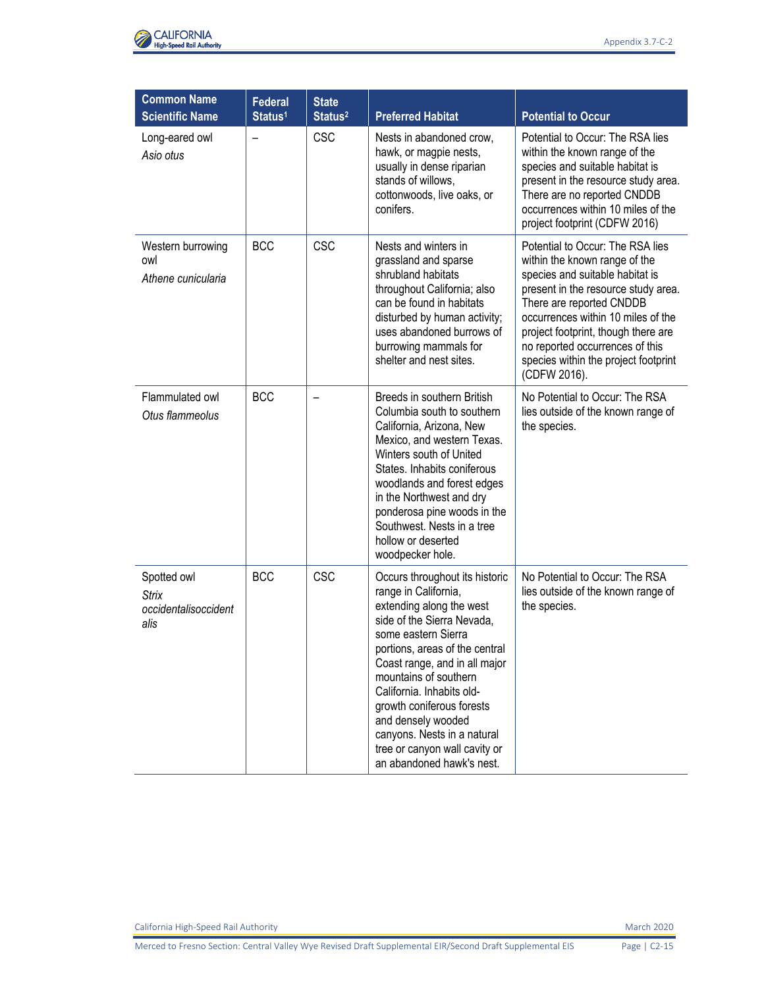

| <b>Common Name</b><br><b>Scientific Name</b>                | <b>Federal</b><br>Status <sup>1</sup> | <b>State</b><br>Status <sup>2</sup> | <b>Preferred Habitat</b>                                                                                                                                                                                                                                                                                                                                                                                         | <b>Potential to Occur</b>                                                                                                                                                                                                                                                                                                                       |
|-------------------------------------------------------------|---------------------------------------|-------------------------------------|------------------------------------------------------------------------------------------------------------------------------------------------------------------------------------------------------------------------------------------------------------------------------------------------------------------------------------------------------------------------------------------------------------------|-------------------------------------------------------------------------------------------------------------------------------------------------------------------------------------------------------------------------------------------------------------------------------------------------------------------------------------------------|
| Long-eared owl<br>Asio otus                                 | $\overline{\phantom{0}}$              | <b>CSC</b>                          | Nests in abandoned crow,<br>hawk, or magpie nests,<br>usually in dense riparian<br>stands of willows,<br>cottonwoods, live oaks, or<br>conifers.                                                                                                                                                                                                                                                                 | Potential to Occur: The RSA lies<br>within the known range of the<br>species and suitable habitat is<br>present in the resource study area.<br>There are no reported CNDDB<br>occurrences within 10 miles of the<br>project footprint (CDFW 2016)                                                                                               |
| Western burrowing<br>owl<br>Athene cunicularia              | <b>BCC</b>                            | CSC                                 | Nests and winters in<br>grassland and sparse<br>shrubland habitats<br>throughout California; also<br>can be found in habitats<br>disturbed by human activity;<br>uses abandoned burrows of<br>burrowing mammals for<br>shelter and nest sites.                                                                                                                                                                   | Potential to Occur: The RSA lies<br>within the known range of the<br>species and suitable habitat is<br>present in the resource study area.<br>There are reported CNDDB<br>occurrences within 10 miles of the<br>project footprint, though there are<br>no reported occurrences of this<br>species within the project footprint<br>(CDFW 2016). |
| Flammulated owl<br>Otus flammeolus                          | <b>BCC</b>                            |                                     | Breeds in southern British<br>Columbia south to southern<br>California, Arizona, New<br>Mexico, and western Texas.<br>Winters south of United<br>States. Inhabits coniferous<br>woodlands and forest edges<br>in the Northwest and dry<br>ponderosa pine woods in the<br>Southwest. Nests in a tree<br>hollow or deserted<br>woodpecker hole.                                                                    | No Potential to Occur: The RSA<br>lies outside of the known range of<br>the species.                                                                                                                                                                                                                                                            |
| Spotted owl<br><b>Strix</b><br>occidentalisoccident<br>alis | <b>BCC</b>                            | <b>CSC</b>                          | Occurs throughout its historic<br>range in California,<br>extending along the west<br>side of the Sierra Nevada,<br>some eastern Sierra<br>portions, areas of the central<br>Coast range, and in all major<br>mountains of southern<br>California. Inhabits old-<br>growth coniferous forests<br>and densely wooded<br>canyons. Nests in a natural<br>tree or canyon wall cavity or<br>an abandoned hawk's nest. | No Potential to Occur: The RSA<br>lies outside of the known range of<br>the species.                                                                                                                                                                                                                                                            |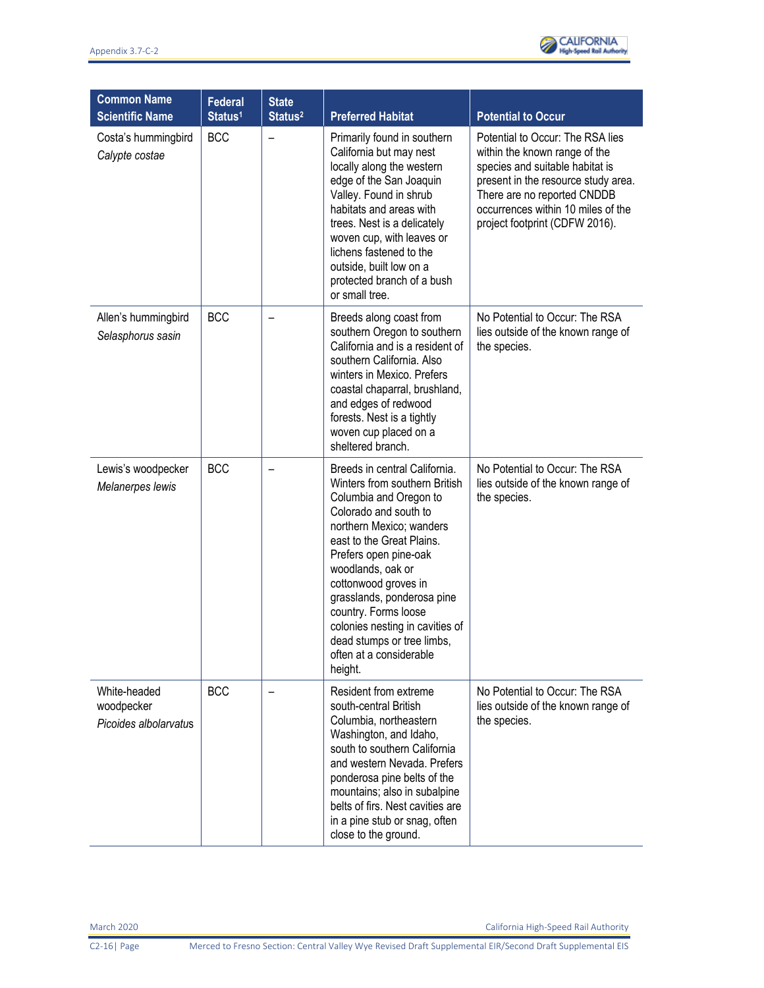

| <b>Common Name</b><br><b>Scientific Name</b>        | <b>Federal</b><br>Status <sup>1</sup> | <b>State</b><br>Status <sup>2</sup> | <b>Preferred Habitat</b>                                                                                                                                                                                                                                                                                                                                                                                      | <b>Potential to Occur</b>                                                                                                                                                                                                                          |
|-----------------------------------------------------|---------------------------------------|-------------------------------------|---------------------------------------------------------------------------------------------------------------------------------------------------------------------------------------------------------------------------------------------------------------------------------------------------------------------------------------------------------------------------------------------------------------|----------------------------------------------------------------------------------------------------------------------------------------------------------------------------------------------------------------------------------------------------|
| Costa's hummingbird<br>Calypte costae               | <b>BCC</b>                            |                                     | Primarily found in southern<br>California but may nest<br>locally along the western<br>edge of the San Joaquin<br>Valley. Found in shrub<br>habitats and areas with<br>trees. Nest is a delicately<br>woven cup, with leaves or<br>lichens fastened to the<br>outside, built low on a<br>protected branch of a bush<br>or small tree.                                                                         | Potential to Occur: The RSA lies<br>within the known range of the<br>species and suitable habitat is<br>present in the resource study area.<br>There are no reported CNDDB<br>occurrences within 10 miles of the<br>project footprint (CDFW 2016). |
| Allen's hummingbird<br>Selasphorus sasin            | <b>BCC</b>                            |                                     | Breeds along coast from<br>southern Oregon to southern<br>California and is a resident of<br>southern California. Also<br>winters in Mexico. Prefers<br>coastal chaparral, brushland,<br>and edges of redwood<br>forests. Nest is a tightly<br>woven cup placed on a<br>sheltered branch.                                                                                                                     | No Potential to Occur: The RSA<br>lies outside of the known range of<br>the species.                                                                                                                                                               |
| Lewis's woodpecker<br>Melanerpes lewis              | <b>BCC</b>                            |                                     | Breeds in central California.<br>Winters from southern British<br>Columbia and Oregon to<br>Colorado and south to<br>northern Mexico; wanders<br>east to the Great Plains.<br>Prefers open pine-oak<br>woodlands, oak or<br>cottonwood groves in<br>grasslands, ponderosa pine<br>country. Forms loose<br>colonies nesting in cavities of<br>dead stumps or tree limbs,<br>often at a considerable<br>height. | No Potential to Occur: The RSA<br>lies outside of the known range of<br>the species.                                                                                                                                                               |
| White-headed<br>woodpecker<br>Picoides albolarvatus | <b>BCC</b>                            |                                     | Resident from extreme<br>south-central British<br>Columbia, northeastern<br>Washington, and Idaho,<br>south to southern California<br>and western Nevada. Prefers<br>ponderosa pine belts of the<br>mountains; also in subalpine<br>belts of firs. Nest cavities are<br>in a pine stub or snag, often<br>close to the ground.                                                                                 | No Potential to Occur: The RSA<br>lies outside of the known range of<br>the species.                                                                                                                                                               |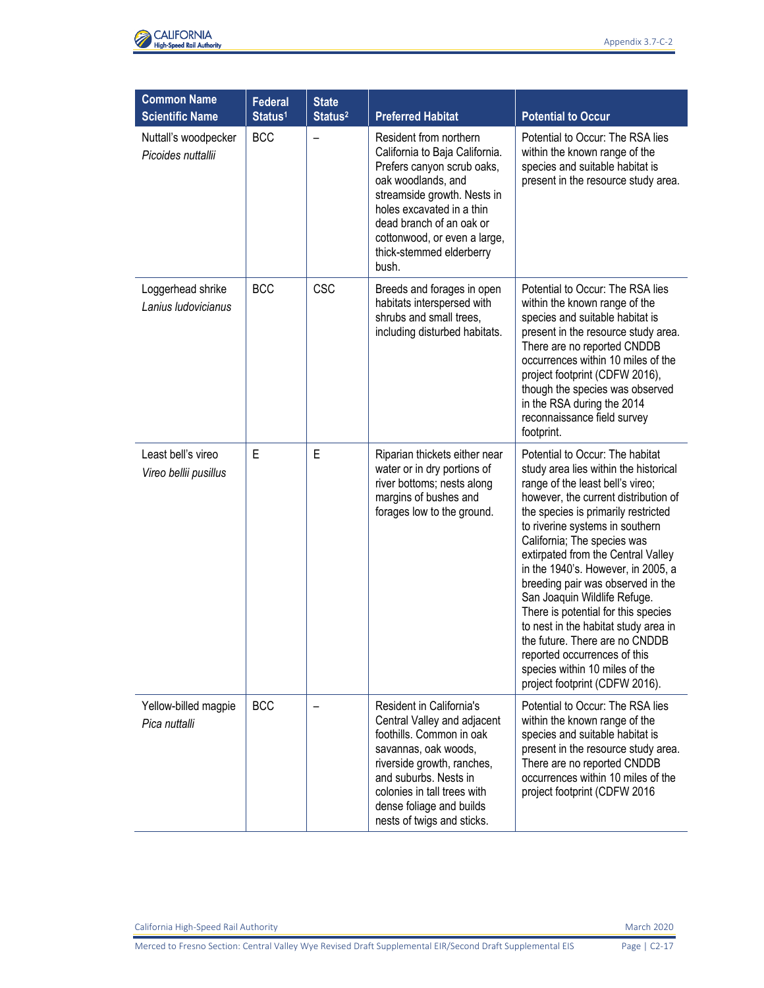

| <b>Common Name</b><br><b>Scientific Name</b> | <b>Federal</b><br>Status <sup>1</sup> | <b>State</b><br>Status <sup>2</sup> | <b>Preferred Habitat</b>                                                                                                                                                                                                                                                  | <b>Potential to Occur</b>                                                                                                                                                                                                                                                                                                                                                                                                                                                                                                                                                                                                           |
|----------------------------------------------|---------------------------------------|-------------------------------------|---------------------------------------------------------------------------------------------------------------------------------------------------------------------------------------------------------------------------------------------------------------------------|-------------------------------------------------------------------------------------------------------------------------------------------------------------------------------------------------------------------------------------------------------------------------------------------------------------------------------------------------------------------------------------------------------------------------------------------------------------------------------------------------------------------------------------------------------------------------------------------------------------------------------------|
| Nuttall's woodpecker<br>Picoides nuttallii   | <b>BCC</b>                            | $\overline{\phantom{0}}$            | Resident from northern<br>California to Baja California.<br>Prefers canyon scrub oaks,<br>oak woodlands, and<br>streamside growth. Nests in<br>holes excavated in a thin<br>dead branch of an oak or<br>cottonwood, or even a large,<br>thick-stemmed elderberry<br>bush. | Potential to Occur: The RSA lies<br>within the known range of the<br>species and suitable habitat is<br>present in the resource study area.                                                                                                                                                                                                                                                                                                                                                                                                                                                                                         |
| Loggerhead shrike<br>Lanius Iudovicianus     | <b>BCC</b>                            | <b>CSC</b>                          | Breeds and forages in open<br>habitats interspersed with<br>shrubs and small trees,<br>including disturbed habitats.                                                                                                                                                      | Potential to Occur: The RSA lies<br>within the known range of the<br>species and suitable habitat is<br>present in the resource study area.<br>There are no reported CNDDB<br>occurrences within 10 miles of the<br>project footprint (CDFW 2016),<br>though the species was observed<br>in the RSA during the 2014<br>reconnaissance field survey<br>footprint.                                                                                                                                                                                                                                                                    |
| Least bell's vireo<br>Vireo bellii pusillus  | E                                     | E                                   | Riparian thickets either near<br>water or in dry portions of<br>river bottoms; nests along<br>margins of bushes and<br>forages low to the ground.                                                                                                                         | Potential to Occur: The habitat<br>study area lies within the historical<br>range of the least bell's vireo;<br>however, the current distribution of<br>the species is primarily restricted<br>to riverine systems in southern<br>California; The species was<br>extirpated from the Central Valley<br>in the 1940's. However, in 2005, a<br>breeding pair was observed in the<br>San Joaquin Wildlife Refuge.<br>There is potential for this species<br>to nest in the habitat study area in<br>the future. There are no CNDDB<br>reported occurrences of this<br>species within 10 miles of the<br>project footprint (CDFW 2016). |
| Yellow-billed magpie<br>Pica nuttalli        | <b>BCC</b>                            |                                     | Resident in California's<br>Central Valley and adjacent<br>foothills. Common in oak<br>savannas, oak woods,<br>riverside growth, ranches,<br>and suburbs. Nests in<br>colonies in tall trees with<br>dense foliage and builds<br>nests of twigs and sticks.               | Potential to Occur: The RSA lies<br>within the known range of the<br>species and suitable habitat is<br>present in the resource study area.<br>There are no reported CNDDB<br>occurrences within 10 miles of the<br>project footprint (CDFW 2016                                                                                                                                                                                                                                                                                                                                                                                    |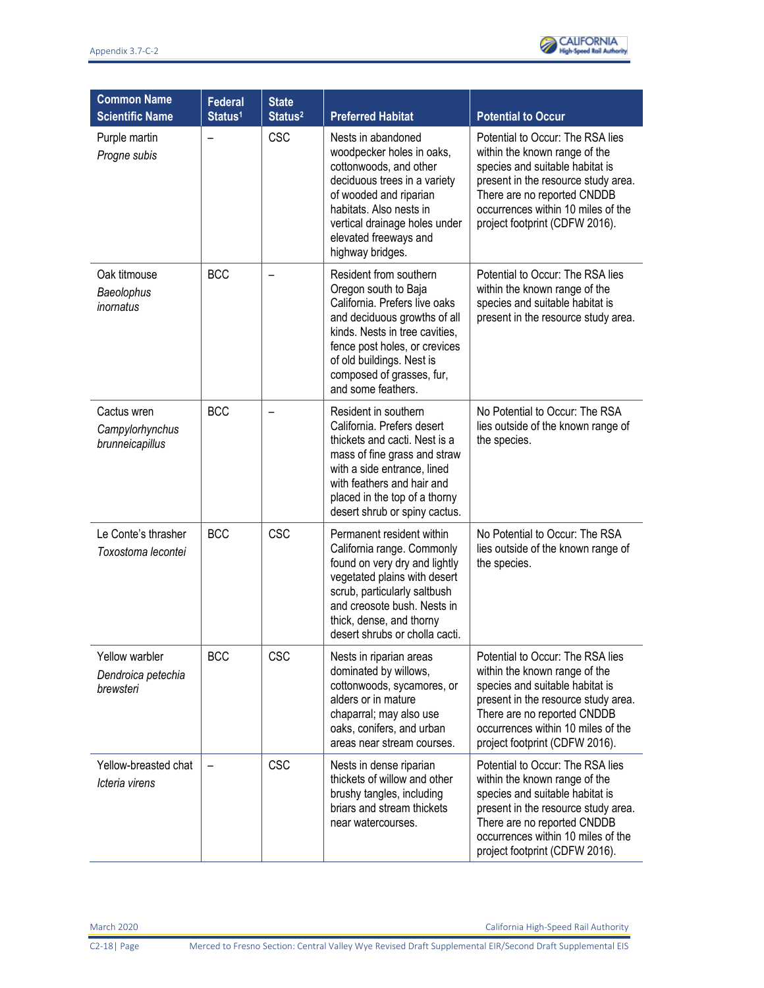

| <b>Common Name</b><br><b>Scientific Name</b>      | <b>Federal</b><br>Status <sup>1</sup> | <b>State</b><br>Status <sup>2</sup> | <b>Preferred Habitat</b>                                                                                                                                                                                                                                           | <b>Potential to Occur</b>                                                                                                                                                                                                                          |
|---------------------------------------------------|---------------------------------------|-------------------------------------|--------------------------------------------------------------------------------------------------------------------------------------------------------------------------------------------------------------------------------------------------------------------|----------------------------------------------------------------------------------------------------------------------------------------------------------------------------------------------------------------------------------------------------|
| Purple martin<br>Progne subis                     |                                       | <b>CSC</b>                          | Nests in abandoned<br>woodpecker holes in oaks,<br>cottonwoods, and other<br>deciduous trees in a variety<br>of wooded and riparian<br>habitats. Also nests in<br>vertical drainage holes under<br>elevated freeways and<br>highway bridges.                       | Potential to Occur: The RSA lies<br>within the known range of the<br>species and suitable habitat is<br>present in the resource study area.<br>There are no reported CNDDB<br>occurrences within 10 miles of the<br>project footprint (CDFW 2016). |
| Oak titmouse<br>Baeolophus<br>inornatus           | <b>BCC</b>                            |                                     | Resident from southern<br>Oregon south to Baja<br>California. Prefers live oaks<br>and deciduous growths of all<br>kinds. Nests in tree cavities.<br>fence post holes, or crevices<br>of old buildings. Nest is<br>composed of grasses, fur,<br>and some feathers. | Potential to Occur: The RSA lies<br>within the known range of the<br>species and suitable habitat is<br>present in the resource study area.                                                                                                        |
| Cactus wren<br>Campylorhynchus<br>brunneicapillus | <b>BCC</b>                            |                                     | Resident in southern<br>California. Prefers desert<br>thickets and cacti. Nest is a<br>mass of fine grass and straw<br>with a side entrance, lined<br>with feathers and hair and<br>placed in the top of a thorny<br>desert shrub or spiny cactus.                 | No Potential to Occur: The RSA<br>lies outside of the known range of<br>the species.                                                                                                                                                               |
| Le Conte's thrasher<br>Toxostoma lecontei         | <b>BCC</b>                            | <b>CSC</b>                          | Permanent resident within<br>California range. Commonly<br>found on very dry and lightly<br>vegetated plains with desert<br>scrub, particularly saltbush<br>and creosote bush. Nests in<br>thick, dense, and thorny<br>desert shrubs or cholla cacti.              | No Potential to Occur: The RSA<br>lies outside of the known range of<br>the species.                                                                                                                                                               |
| Yellow warbler<br>Dendroica petechia<br>brewsteri | <b>BCC</b>                            | CSC                                 | Nests in riparian areas<br>dominated by willows,<br>cottonwoods, sycamores, or<br>alders or in mature<br>chaparral; may also use<br>oaks, conifers, and urban<br>areas near stream courses.                                                                        | Potential to Occur: The RSA lies<br>within the known range of the<br>species and suitable habitat is<br>present in the resource study area.<br>There are no reported CNDDB<br>occurrences within 10 miles of the<br>project footprint (CDFW 2016). |
| Yellow-breasted chat<br>Icteria virens            |                                       | <b>CSC</b>                          | Nests in dense riparian<br>thickets of willow and other<br>brushy tangles, including<br>briars and stream thickets<br>near watercourses.                                                                                                                           | Potential to Occur: The RSA lies<br>within the known range of the<br>species and suitable habitat is<br>present in the resource study area.<br>There are no reported CNDDB<br>occurrences within 10 miles of the<br>project footprint (CDFW 2016). |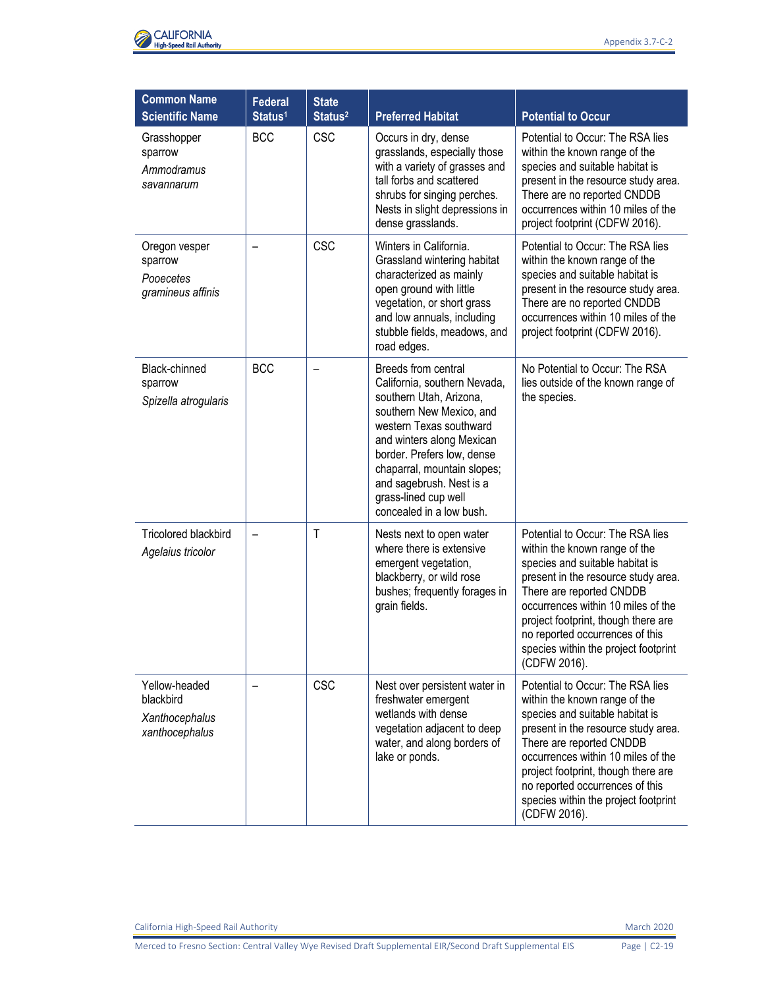

| <b>Common Name</b><br><b>Scientific Name</b>                   | <b>Federal</b><br>Status <sup>1</sup> | <b>State</b><br>Status <sup>2</sup> | <b>Preferred Habitat</b>                                                                                                                                                                                                                                                                                        | <b>Potential to Occur</b>                                                                                                                                                                                                                                                                                                                       |
|----------------------------------------------------------------|---------------------------------------|-------------------------------------|-----------------------------------------------------------------------------------------------------------------------------------------------------------------------------------------------------------------------------------------------------------------------------------------------------------------|-------------------------------------------------------------------------------------------------------------------------------------------------------------------------------------------------------------------------------------------------------------------------------------------------------------------------------------------------|
| Grasshopper<br>sparrow<br>Ammodramus<br>savannarum             | <b>BCC</b>                            | <b>CSC</b>                          | Occurs in dry, dense<br>grasslands, especially those<br>with a variety of grasses and<br>tall forbs and scattered<br>shrubs for singing perches.<br>Nests in slight depressions in<br>dense grasslands.                                                                                                         | Potential to Occur: The RSA lies<br>within the known range of the<br>species and suitable habitat is<br>present in the resource study area.<br>There are no reported CNDDB<br>occurrences within 10 miles of the<br>project footprint (CDFW 2016).                                                                                              |
| Oregon vesper<br>sparrow<br>Pooecetes<br>gramineus affinis     |                                       | <b>CSC</b>                          | Winters in California.<br>Grassland wintering habitat<br>characterized as mainly<br>open ground with little<br>vegetation, or short grass<br>and low annuals, including<br>stubble fields, meadows, and<br>road edges.                                                                                          | Potential to Occur: The RSA lies<br>within the known range of the<br>species and suitable habitat is<br>present in the resource study area.<br>There are no reported CNDDB<br>occurrences within 10 miles of the<br>project footprint (CDFW 2016).                                                                                              |
| Black-chinned<br>sparrow<br>Spizella atrogularis               | <b>BCC</b>                            |                                     | Breeds from central<br>California, southern Nevada,<br>southern Utah, Arizona,<br>southern New Mexico, and<br>western Texas southward<br>and winters along Mexican<br>border. Prefers low, dense<br>chaparral, mountain slopes;<br>and sagebrush. Nest is a<br>grass-lined cup well<br>concealed in a low bush. | No Potential to Occur: The RSA<br>lies outside of the known range of<br>the species.                                                                                                                                                                                                                                                            |
| <b>Tricolored blackbird</b><br>Agelaius tricolor               | $\qquad \qquad -$                     | T                                   | Nests next to open water<br>where there is extensive<br>emergent vegetation,<br>blackberry, or wild rose<br>bushes; frequently forages in<br>grain fields.                                                                                                                                                      | Potential to Occur: The RSA lies<br>within the known range of the<br>species and suitable habitat is<br>present in the resource study area.<br>There are reported CNDDB<br>occurrences within 10 miles of the<br>project footprint, though there are<br>no reported occurrences of this<br>species within the project footprint<br>(CDFW 2016). |
| Yellow-headed<br>blackbird<br>Xanthocephalus<br>xanthocephalus |                                       | <b>CSC</b>                          | Nest over persistent water in<br>freshwater emergent<br>wetlands with dense<br>vegetation adjacent to deep<br>water, and along borders of<br>lake or ponds.                                                                                                                                                     | Potential to Occur: The RSA lies<br>within the known range of the<br>species and suitable habitat is<br>present in the resource study area.<br>There are reported CNDDB<br>occurrences within 10 miles of the<br>project footprint, though there are<br>no reported occurrences of this<br>species within the project footprint<br>(CDFW 2016). |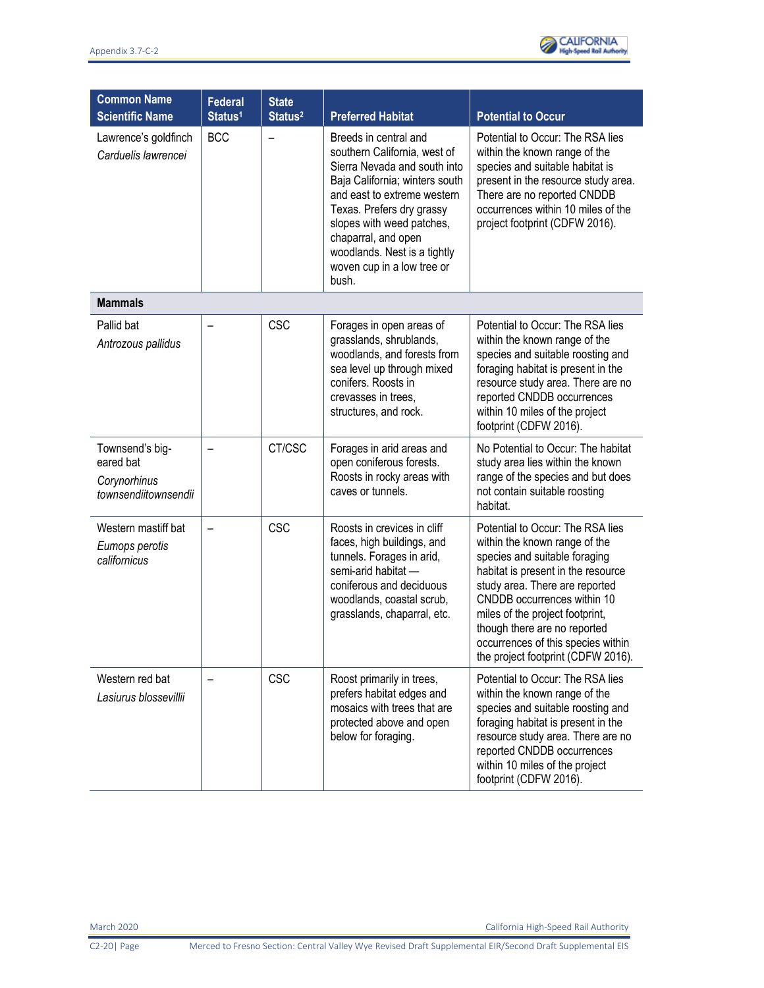| <b>Common Name</b><br><b>Scientific Name</b>                         | <b>Federal</b><br>Status <sup>1</sup> | <b>State</b><br>Status <sup>2</sup> | <b>Preferred Habitat</b>                                                                                                                                                                                                                                                                                       | <b>Potential to Occur</b>                                                                                                                                                                                                                                                                                                                                |
|----------------------------------------------------------------------|---------------------------------------|-------------------------------------|----------------------------------------------------------------------------------------------------------------------------------------------------------------------------------------------------------------------------------------------------------------------------------------------------------------|----------------------------------------------------------------------------------------------------------------------------------------------------------------------------------------------------------------------------------------------------------------------------------------------------------------------------------------------------------|
| Lawrence's goldfinch<br>Carduelis lawrencei                          | <b>BCC</b>                            | $\overline{\phantom{0}}$            | Breeds in central and<br>southern California, west of<br>Sierra Nevada and south into<br>Baja California; winters south<br>and east to extreme western<br>Texas. Prefers dry grassy<br>slopes with weed patches,<br>chaparral, and open<br>woodlands. Nest is a tightly<br>woven cup in a low tree or<br>bush. | Potential to Occur: The RSA lies<br>within the known range of the<br>species and suitable habitat is<br>present in the resource study area.<br>There are no reported CNDDB<br>occurrences within 10 miles of the<br>project footprint (CDFW 2016).                                                                                                       |
| <b>Mammals</b>                                                       |                                       |                                     |                                                                                                                                                                                                                                                                                                                |                                                                                                                                                                                                                                                                                                                                                          |
| Pallid bat<br>Antrozous pallidus                                     |                                       | <b>CSC</b>                          | Forages in open areas of<br>grasslands, shrublands,<br>woodlands, and forests from<br>sea level up through mixed<br>conifers. Roosts in<br>crevasses in trees,<br>structures, and rock.                                                                                                                        | Potential to Occur: The RSA lies<br>within the known range of the<br>species and suitable roosting and<br>foraging habitat is present in the<br>resource study area. There are no<br>reported CNDDB occurrences<br>within 10 miles of the project<br>footprint (CDFW 2016).                                                                              |
| Townsend's big-<br>eared bat<br>Corynorhinus<br>townsendiitownsendii | $\overline{\phantom{0}}$              | CT/CSC                              | Forages in arid areas and<br>open coniferous forests.<br>Roosts in rocky areas with<br>caves or tunnels.                                                                                                                                                                                                       | No Potential to Occur: The habitat<br>study area lies within the known<br>range of the species and but does<br>not contain suitable roosting<br>habitat.                                                                                                                                                                                                 |
| Western mastiff bat<br>Eumops perotis<br>californicus                |                                       | <b>CSC</b>                          | Roosts in crevices in cliff<br>faces, high buildings, and<br>tunnels. Forages in arid,<br>semi-arid habitat -<br>coniferous and deciduous<br>woodlands, coastal scrub,<br>grasslands, chaparral, etc.                                                                                                          | Potential to Occur: The RSA lies<br>within the known range of the<br>species and suitable foraging<br>habitat is present in the resource<br>study area. There are reported<br>CNDDB occurrences within 10<br>miles of the project footprint,<br>though there are no reported<br>occurrences of this species within<br>the project footprint (CDFW 2016). |
| Western red bat<br>Lasiurus blossevillii                             |                                       | <b>CSC</b>                          | Roost primarily in trees,<br>prefers habitat edges and<br>mosaics with trees that are<br>protected above and open<br>below for foraging.                                                                                                                                                                       | Potential to Occur: The RSA lies<br>within the known range of the<br>species and suitable roosting and<br>foraging habitat is present in the<br>resource study area. There are no<br>reported CNDDB occurrences<br>within 10 miles of the project<br>footprint (CDFW 2016).                                                                              |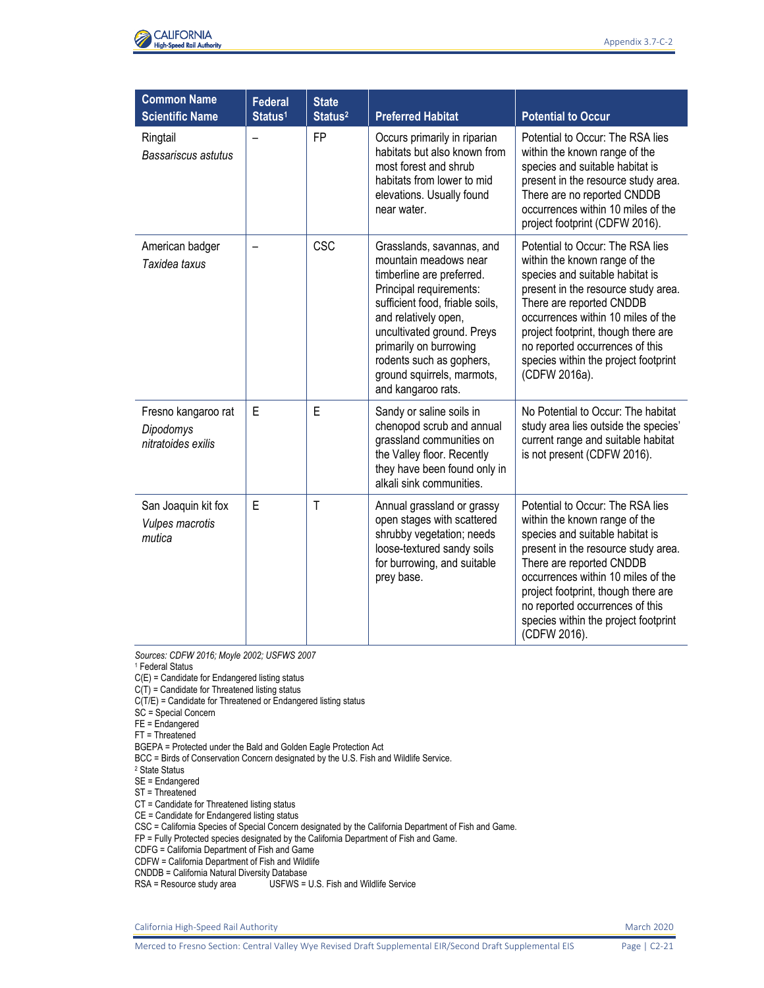

| <b>Common Name</b><br><b>Scientific Name</b>            | <b>Federal</b><br>Status <sup>1</sup> | <b>State</b><br>Status <sup>2</sup> | <b>Preferred Habitat</b>                                                                                                                                                                                                                                                                                      | <b>Potential to Occur</b>                                                                                                                                                                                                                                                                                                                        |
|---------------------------------------------------------|---------------------------------------|-------------------------------------|---------------------------------------------------------------------------------------------------------------------------------------------------------------------------------------------------------------------------------------------------------------------------------------------------------------|--------------------------------------------------------------------------------------------------------------------------------------------------------------------------------------------------------------------------------------------------------------------------------------------------------------------------------------------------|
| Ringtail<br>Bassariscus astutus                         |                                       | <b>FP</b>                           | Occurs primarily in riparian<br>habitats but also known from<br>most forest and shrub<br>habitats from lower to mid<br>elevations. Usually found<br>near water.                                                                                                                                               | Potential to Occur: The RSA lies<br>within the known range of the<br>species and suitable habitat is<br>present in the resource study area.<br>There are no reported CNDDB<br>occurrences within 10 miles of the<br>project footprint (CDFW 2016).                                                                                               |
| American badger<br>Taxidea taxus                        |                                       | <b>CSC</b>                          | Grasslands, savannas, and<br>mountain meadows near<br>timberline are preferred.<br>Principal requirements:<br>sufficient food, friable soils,<br>and relatively open,<br>uncultivated ground. Preys<br>primarily on burrowing<br>rodents such as gophers,<br>ground squirrels, marmots,<br>and kangaroo rats. | Potential to Occur: The RSA lies<br>within the known range of the<br>species and suitable habitat is<br>present in the resource study area.<br>There are reported CNDDB<br>occurrences within 10 miles of the<br>project footprint, though there are<br>no reported occurrences of this<br>species within the project footprint<br>(CDFW 2016a). |
| Fresno kangaroo rat<br>Dipodomys<br>nitratoides exilis  | E                                     | E                                   | Sandy or saline soils in<br>chenopod scrub and annual<br>grassland communities on<br>the Valley floor. Recently<br>they have been found only in<br>alkali sink communities.                                                                                                                                   | No Potential to Occur: The habitat<br>study area lies outside the species'<br>current range and suitable habitat<br>is not present (CDFW 2016).                                                                                                                                                                                                  |
| San Joaquin kit fox<br><b>Vulpes macrotis</b><br>mutica | E                                     | T                                   | Annual grassland or grassy<br>open stages with scattered<br>shrubby vegetation; needs<br>loose-textured sandy soils<br>for burrowing, and suitable<br>prey base.                                                                                                                                              | Potential to Occur: The RSA lies<br>within the known range of the<br>species and suitable habitat is<br>present in the resource study area.<br>There are reported CNDDB<br>occurrences within 10 miles of the<br>project footprint, though there are<br>no reported occurrences of this<br>species within the project footprint<br>(CDFW 2016).  |

*Sources: CDFW 2016; Moyle 2002; USFWS 2007*

<sup>1</sup> Federal Status

C(E) = Candidate for Endangered listing status

 $C(T)$  = Candidate for Threatened listing status

C(T/E) = Candidate for Threatened or Endangered listing status

SC = Special Concern

FE = Endangered

FT = Threatened

BGEPA = Protected under the Bald and Golden Eagle Protection Act

BCC = Birds of Conservation Concern designated by the U.S. Fish and Wildlife Service.

<sup>2</sup> State Status

SE = Endangered

ST = Threatened

CT = Candidate for Threatened listing status

CE = Candidate for Endangered listing status

CSC = California Species of Special Concern designated by the California Department of Fish and Game.

FP = Fully Protected species designated by the California Department of Fish and Game.

CDFG = California Department of Fish and Game

CDFW = California Department of Fish and Wildlife

CNDDB = California Natural Diversity Database

RSA = Resource study area <br>
USFWS = U.S. Fish and Wildlife Service

California High-Speed Rail Authority March 2020 and September 2020 and September 2020 and September 2020 and March 2020